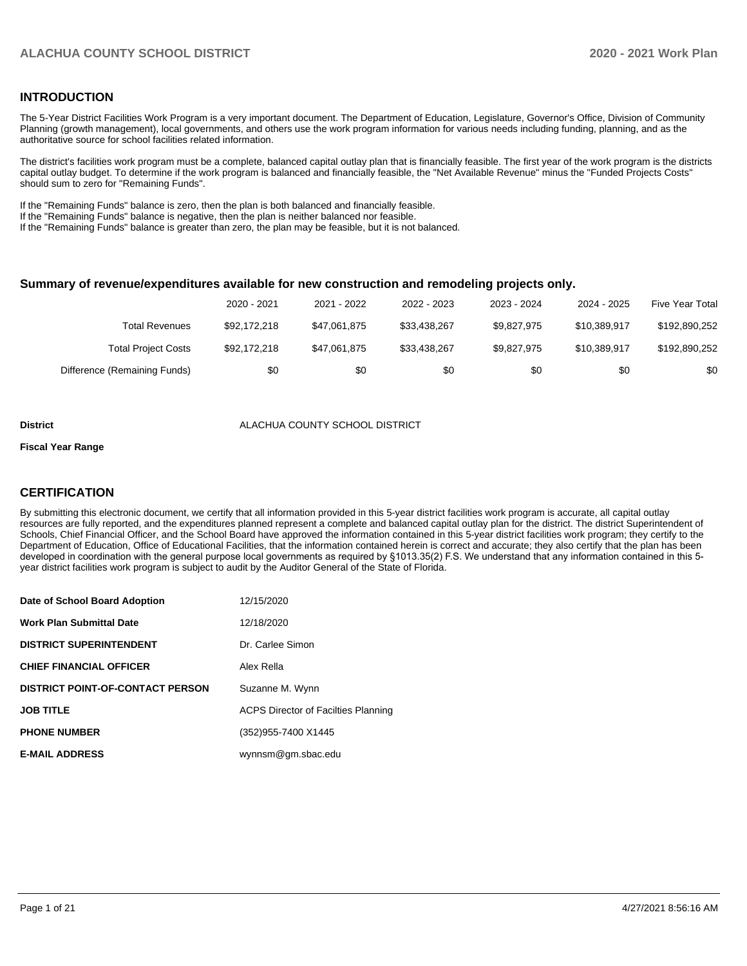# **INTRODUCTION**

The 5-Year District Facilities Work Program is a very important document. The Department of Education, Legislature, Governor's Office, Division of Community Planning (growth management), local governments, and others use the work program information for various needs including funding, planning, and as the authoritative source for school facilities related information.

The district's facilities work program must be a complete, balanced capital outlay plan that is financially feasible. The first year of the work program is the districts capital outlay budget. To determine if the work program is balanced and financially feasible, the "Net Available Revenue" minus the "Funded Projects Costs" should sum to zero for "Remaining Funds".

If the "Remaining Funds" balance is zero, then the plan is both balanced and financially feasible.

If the "Remaining Funds" balance is negative, then the plan is neither balanced nor feasible.

If the "Remaining Funds" balance is greater than zero, the plan may be feasible, but it is not balanced.

### **Summary of revenue/expenditures available for new construction and remodeling projects only.**

|                              | 2020 - 2021  | 2021 - 2022  | 2022 - 2023  | 2023 - 2024 | 2024 - 2025  | <b>Five Year Total</b> |
|------------------------------|--------------|--------------|--------------|-------------|--------------|------------------------|
| Total Revenues               | \$92,172,218 | \$47,061,875 | \$33.438.267 | \$9.827.975 | \$10.389.917 | \$192,890,252          |
| <b>Total Project Costs</b>   | \$92,172,218 | \$47.061.875 | \$33.438.267 | \$9.827.975 | \$10.389.917 | \$192,890,252          |
| Difference (Remaining Funds) | \$0          | \$0          | \$0          | \$0         | \$0          | \$0                    |

#### **District COUNTY SCHOOL DISTRICT**

#### **Fiscal Year Range**

# **CERTIFICATION**

By submitting this electronic document, we certify that all information provided in this 5-year district facilities work program is accurate, all capital outlay resources are fully reported, and the expenditures planned represent a complete and balanced capital outlay plan for the district. The district Superintendent of Schools, Chief Financial Officer, and the School Board have approved the information contained in this 5-year district facilities work program; they certify to the Department of Education, Office of Educational Facilities, that the information contained herein is correct and accurate; they also certify that the plan has been developed in coordination with the general purpose local governments as required by §1013.35(2) F.S. We understand that any information contained in this 5 year district facilities work program is subject to audit by the Auditor General of the State of Florida.

| Date of School Board Adoption           | 12/15/2020                          |
|-----------------------------------------|-------------------------------------|
| <b>Work Plan Submittal Date</b>         | 12/18/2020                          |
| <b>DISTRICT SUPERINTENDENT</b>          | Dr. Carlee Simon                    |
| <b>CHIEF FINANCIAL OFFICER</b>          | Alex Rella                          |
| <b>DISTRICT POINT-OF-CONTACT PERSON</b> | Suzanne M. Wynn                     |
| <b>JOB TITLE</b>                        | ACPS Director of Facilties Planning |
| <b>PHONE NUMBER</b>                     | (352) 955-7400 X1445                |
| <b>E-MAIL ADDRESS</b>                   | wynnsm@gm.sbac.edu                  |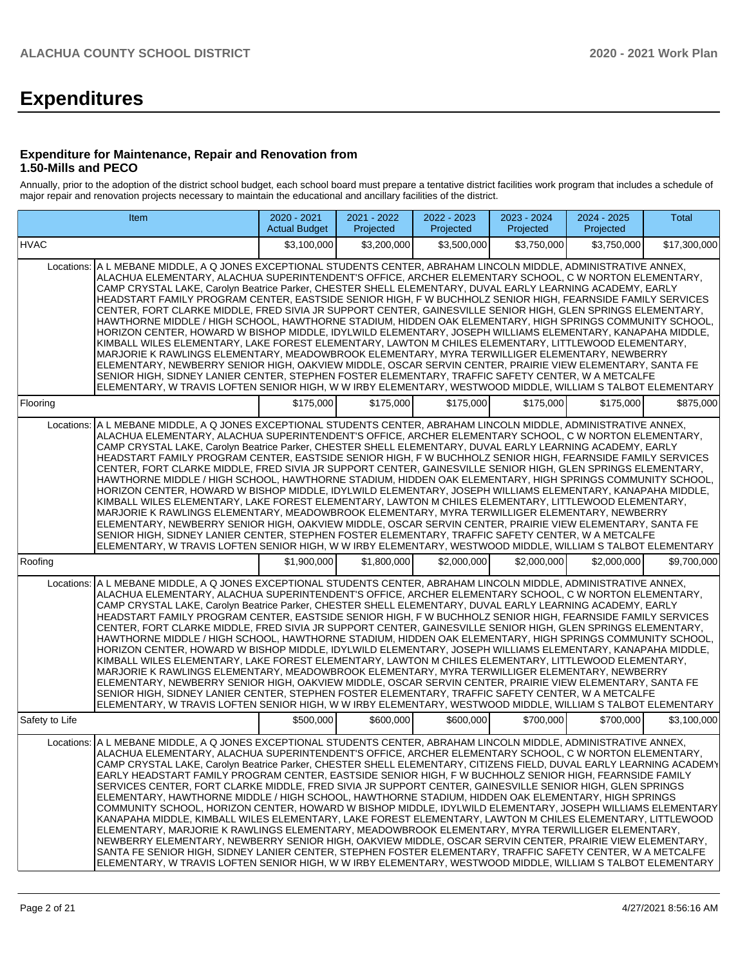# **Expenditures**

# **Expenditure for Maintenance, Repair and Renovation from 1.50-Mills and PECO**

Annually, prior to the adoption of the district school budget, each school board must prepare a tentative district facilities work program that includes a schedule of major repair and renovation projects necessary to maintain the educational and ancillary facilities of the district.

|                | Item                                                                                                                                                                                                                                                                                                                                                                                                                                                                                                                                                                                                                                                                                                                                                                                                                                                                                                                                                                                                                                                                                                                                                                                                                                                                                                                                                 | 2020 - 2021<br><b>Actual Budget</b> | 2021 - 2022<br>Projected | 2022 - 2023<br>Projected | 2023 - 2024<br>Projected | 2024 - 2025<br>Projected | <b>Total</b> |
|----------------|------------------------------------------------------------------------------------------------------------------------------------------------------------------------------------------------------------------------------------------------------------------------------------------------------------------------------------------------------------------------------------------------------------------------------------------------------------------------------------------------------------------------------------------------------------------------------------------------------------------------------------------------------------------------------------------------------------------------------------------------------------------------------------------------------------------------------------------------------------------------------------------------------------------------------------------------------------------------------------------------------------------------------------------------------------------------------------------------------------------------------------------------------------------------------------------------------------------------------------------------------------------------------------------------------------------------------------------------------|-------------------------------------|--------------------------|--------------------------|--------------------------|--------------------------|--------------|
| <b>HVAC</b>    |                                                                                                                                                                                                                                                                                                                                                                                                                                                                                                                                                                                                                                                                                                                                                                                                                                                                                                                                                                                                                                                                                                                                                                                                                                                                                                                                                      | \$3,100,000                         | \$3,200,000              | \$3,500,000              | \$3,750,000              | \$3,750,000              | \$17,300,000 |
| Locations:     | A L MEBANE MIDDLE, A Q JONES EXCEPTIONAL STUDENTS CENTER, ABRAHAM LINCOLN MIDDLE, ADMINISTRATIVE ANNEX,<br>ALACHUA ELEMENTARY, ALACHUA SUPERINTENDENT'S OFFICE, ARCHER ELEMENTARY SCHOOL, C W NORTON ELEMENTARY,<br>CAMP CRYSTAL LAKE, Carolyn Beatrice Parker, CHESTER SHELL ELEMENTARY, DUVAL EARLY LEARNING ACADEMY, EARLY<br>HEADSTART FAMILY PROGRAM CENTER, EASTSIDE SENIOR HIGH, F W BUCHHOLZ SENIOR HIGH, FEARNSIDE FAMILY SERVICES<br>CENTER, FORT CLARKE MIDDLE, FRED SIVIA JR SUPPORT CENTER, GAINESVILLE SENIOR HIGH, GLEN SPRINGS ELEMENTARY,<br>HAWTHORNE MIDDLE / HIGH SCHOOL, HAWTHORNE STADIUM, HIDDEN OAK ELEMENTARY, HIGH SPRINGS COMMUNITY SCHOOL,<br>HORIZON CENTER, HOWARD W BISHOP MIDDLE, IDYLWILD ELEMENTARY, JOSEPH WILLIAMS ELEMENTARY, KANAPAHA MIDDLE,<br>KIMBALL WILES ELEMENTARY, LAKE FOREST ELEMENTARY, LAWTON M CHILES ELEMENTARY, LITTLEWOOD ELEMENTARY,<br>MARJORIE K RAWLINGS ELEMENTARY, MEADOWBROOK ELEMENTARY, MYRA TERWILLIGER ELEMENTARY, NEWBERRY<br>ELEMENTARY, NEWBERRY SENIOR HIGH, OAKVIEW MIDDLE, OSCAR SERVIN CENTER, PRAIRIE VIEW ELEMENTARY, SANTA FE<br>SENIOR HIGH, SIDNEY LANIER CENTER, STEPHEN FOSTER ELEMENTARY, TRAFFIC SAFETY CENTER, W A METCALFE<br>ELEMENTARY, W TRAVIS LOFTEN SENIOR HIGH, W W IRBY ELEMENTARY, WESTWOOD MIDDLE, WILLIAM S TALBOT ELEMENTARY                          |                                     |                          |                          |                          |                          |              |
| Flooring       |                                                                                                                                                                                                                                                                                                                                                                                                                                                                                                                                                                                                                                                                                                                                                                                                                                                                                                                                                                                                                                                                                                                                                                                                                                                                                                                                                      | \$175,000                           | \$175,000                | \$175,000                | \$175,000                | \$175,000                | \$875,000    |
| Locations:     | A L MEBANE MIDDLE, A Q JONES EXCEPTIONAL STUDENTS CENTER, ABRAHAM LINCOLN MIDDLE, ADMINISTRATIVE ANNEX,<br>ALACHUA ELEMENTARY, ALACHUA SUPERINTENDENT'S OFFICE, ARCHER ELEMENTARY SCHOOL, C W NORTON ELEMENTARY,<br>CAMP CRYSTAL LAKE, Carolyn Beatrice Parker, CHESTER SHELL ELEMENTARY, DUVAL EARLY LEARNING ACADEMY, EARLY<br>HEADSTART FAMILY PROGRAM CENTER, EASTSIDE SENIOR HIGH, F W BUCHHOLZ SENIOR HIGH, FEARNSIDE FAMILY SERVICES<br>CENTER, FORT CLARKE MIDDLE, FRED SIVIA JR SUPPORT CENTER, GAINESVILLE SENIOR HIGH, GLEN SPRINGS ELEMENTARY,<br>HAWTHORNE MIDDLE / HIGH SCHOOL, HAWTHORNE STADIUM, HIDDEN OAK ELEMENTARY, HIGH SPRINGS COMMUNITY SCHOOL,<br>HORIZON CENTER, HOWARD W BISHOP MIDDLE, IDYLWILD ELEMENTARY, JOSEPH WILLIAMS ELEMENTARY, KANAPAHA MIDDLE,<br>KIMBALL WILES ELEMENTARY, LAKE FOREST ELEMENTARY, LAWTON M CHILES ELEMENTARY, LITTLEWOOD ELEMENTARY,<br>MARJORIE K RAWLINGS ELEMENTARY, MEADOWBROOK ELEMENTARY, MYRA TERWILLIGER ELEMENTARY, NEWBERRY<br>ELEMENTARY, NEWBERRY SENIOR HIGH, OAKVIEW MIDDLE, OSCAR SERVIN CENTER, PRAIRIE VIEW ELEMENTARY, SANTA FE<br>SENIOR HIGH, SIDNEY LANIER CENTER, STEPHEN FOSTER ELEMENTARY, TRAFFIC SAFETY CENTER, W A METCALFE<br>ELEMENTARY, W TRAVIS LOFTEN SENIOR HIGH, W W IRBY ELEMENTARY, WESTWOOD MIDDLE, WILLIAM S TALBOT ELEMENTARY                          |                                     |                          |                          |                          |                          |              |
| Roofing        |                                                                                                                                                                                                                                                                                                                                                                                                                                                                                                                                                                                                                                                                                                                                                                                                                                                                                                                                                                                                                                                                                                                                                                                                                                                                                                                                                      | \$1,900,000                         | \$1,800,000              | \$2,000,000              | \$2,000,000              | \$2,000,000              | \$9,700,000  |
| Locations:     | A L MEBANE MIDDLE, A Q JONES EXCEPTIONAL STUDENTS CENTER, ABRAHAM LINCOLN MIDDLE, ADMINISTRATIVE ANNEX,<br>ALACHUA ELEMENTARY, ALACHUA SUPERINTENDENT'S OFFICE, ARCHER ELEMENTARY SCHOOL, C W NORTON ELEMENTARY,<br>CAMP CRYSTAL LAKE, Carolyn Beatrice Parker, CHESTER SHELL ELEMENTARY, DUVAL EARLY LEARNING ACADEMY, EARLY<br>HEADSTART FAMILY PROGRAM CENTER, EASTSIDE SENIOR HIGH, F W BUCHHOLZ SENIOR HIGH, FEARNSIDE FAMILY SERVICES<br>CENTER, FORT CLARKE MIDDLE, FRED SIVIA JR SUPPORT CENTER, GAINESVILLE SENIOR HIGH, GLEN SPRINGS ELEMENTARY,<br>HAWTHORNE MIDDLE / HIGH SCHOOL, HAWTHORNE STADIUM, HIDDEN OAK ELEMENTARY, HIGH SPRINGS COMMUNITY SCHOOL,<br>HORIZON CENTER, HOWARD W BISHOP MIDDLE, IDYLWILD ELEMENTARY, JOSEPH WILLIAMS ELEMENTARY, KANAPAHA MIDDLE,<br>KIMBALL WILES ELEMENTARY, LAKE FOREST ELEMENTARY, LAWTON M CHILES ELEMENTARY, LITTLEWOOD ELEMENTARY,<br>MARJORIE K RAWLINGS ELEMENTARY, MEADOWBROOK ELEMENTARY, MYRA TERWILLIGER ELEMENTARY, NEWBERRY<br>ELEMENTARY, NEWBERRY SENIOR HIGH, OAKVIEW MIDDLE, OSCAR SERVIN CENTER, PRAIRIE VIEW ELEMENTARY, SANTA FE<br>SENIOR HIGH, SIDNEY LANIER CENTER, STEPHEN FOSTER ELEMENTARY, TRAFFIC SAFETY CENTER, W A METCALFE<br>ELEMENTARY, W TRAVIS LOFTEN SENIOR HIGH, W W IRBY ELEMENTARY, WESTWOOD MIDDLE, WILLIAM S TALBOT ELEMENTARY                          |                                     |                          |                          |                          |                          |              |
| Safety to Life |                                                                                                                                                                                                                                                                                                                                                                                                                                                                                                                                                                                                                                                                                                                                                                                                                                                                                                                                                                                                                                                                                                                                                                                                                                                                                                                                                      | \$500,000                           | \$600,000                | \$600,000                | \$700,000                | \$700,000                | \$3,100,000  |
|                | Locations: A L MEBANE MIDDLE, A Q JONES EXCEPTIONAL STUDENTS CENTER, ABRAHAM LINCOLN MIDDLE, ADMINISTRATIVE ANNEX,<br>ALACHUA ELEMENTARY, ALACHUA SUPERINTENDENT'S OFFICE, ARCHER ELEMENTARY SCHOOL, C W NORTON ELEMENTARY,<br>CAMP CRYSTAL LAKE, Carolyn Beatrice Parker, CHESTER SHELL ELEMENTARY, CITIZENS FIELD, DUVAL EARLY LEARNING ACADEMY<br>EARLY HEADSTART FAMILY PROGRAM CENTER, EASTSIDE SENIOR HIGH, F W BUCHHOLZ SENIOR HIGH, FEARNSIDE FAMILY<br>SERVICES CENTER, FORT CLARKE MIDDLE, FRED SIVIA JR SUPPORT CENTER, GAINESVILLE SENIOR HIGH, GLEN SPRINGS<br>ELEMENTARY, HAWTHORNE MIDDLE / HIGH SCHOOL, HAWTHORNE STADIUM, HIDDEN OAK ELEMENTARY, HIGH SPRINGS<br>COMMUNITY SCHOOL, HORIZON CENTER, HOWARD W BISHOP MIDDLE, IDYLWILD ELEMENTARY, JOSEPH WILLIAMS ELEMENTARY<br>KANAPAHA MIDDLE, KIMBALL WILES ELEMENTARY, LAKE FOREST ELEMENTARY, LAWTON M CHILES ELEMENTARY, LITTLEWOOD<br>ELEMENTARY, MARJORIE K RAWLINGS ELEMENTARY, MEADOWBROOK ELEMENTARY, MYRA TERWILLIGER ELEMENTARY,<br>NEWBERRY ELEMENTARY, NEWBERRY SENIOR HIGH, OAKVIEW MIDDLE, OSCAR SERVIN CENTER, PRAIRIE VIEW ELEMENTARY,<br>SANTA FE SENIOR HIGH, SIDNEY LANIER CENTER, STEPHEN FOSTER ELEMENTARY, TRAFFIC SAFETY CENTER, W A METCALFE<br>ELEMENTARY, W TRAVIS LOFTEN SENIOR HIGH, W W IRBY ELEMENTARY, WESTWOOD MIDDLE, WILLIAM S TALBOT ELEMENTARY |                                     |                          |                          |                          |                          |              |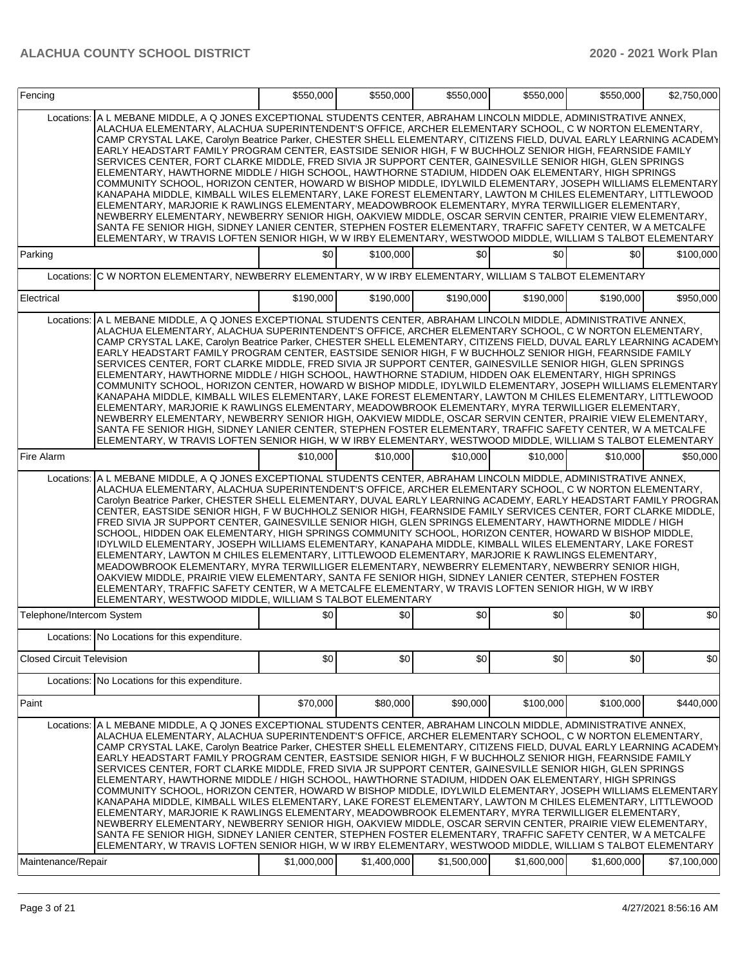| Fencing                          |                                                                                                                                                                                                                                                                                                                                                                                                                                                                                                                                                                                                                                                                                                                                                                                                                                                                                                                                                                                                                                                                                                                                                                                                                                                                                                                                           | \$550,000   | \$550,000   | \$550,000   | \$550,000   | \$550,000   | \$2,750,000 |
|----------------------------------|-------------------------------------------------------------------------------------------------------------------------------------------------------------------------------------------------------------------------------------------------------------------------------------------------------------------------------------------------------------------------------------------------------------------------------------------------------------------------------------------------------------------------------------------------------------------------------------------------------------------------------------------------------------------------------------------------------------------------------------------------------------------------------------------------------------------------------------------------------------------------------------------------------------------------------------------------------------------------------------------------------------------------------------------------------------------------------------------------------------------------------------------------------------------------------------------------------------------------------------------------------------------------------------------------------------------------------------------|-------------|-------------|-------------|-------------|-------------|-------------|
| Locations:                       | A L MEBANE MIDDLE, A Q JONES EXCEPTIONAL STUDENTS CENTER, ABRAHAM LINCOLN MIDDLE, ADMINISTRATIVE ANNEX,<br>ALACHUA ELEMENTARY, ALACHUA SUPERINTENDENT'S OFFICE, ARCHER ELEMENTARY SCHOOL, C W NORTON ELEMENTARY,<br>CAMP CRYSTAL LAKE, Carolyn Beatrice Parker, CHESTER SHELL ELEMENTARY, CITIZENS FIELD, DUVAL EARLY LEARNING ACADEMY<br>EARLY HEADSTART FAMILY PROGRAM CENTER, EASTSIDE SENIOR HIGH, F W BUCHHOLZ SENIOR HIGH, FEARNSIDE FAMILY<br>SERVICES CENTER, FORT CLARKE MIDDLE, FRED SIVIA JR SUPPORT CENTER, GAINESVILLE SENIOR HIGH, GLEN SPRINGS<br>ELEMENTARY, HAWTHORNE MIDDLE / HIGH SCHOOL, HAWTHORNE STADIUM, HIDDEN OAK ELEMENTARY, HIGH SPRINGS<br>COMMUNITY SCHOOL, HORIZON CENTER, HOWARD W BISHOP MIDDLE, IDYLWILD ELEMENTARY, JOSEPH WILLIAMS ELEMENTARY<br>KANAPAHA MIDDLE, KIMBALL WILES ELEMENTARY, LAKE FOREST ELEMENTARY, LAWTON M CHILES ELEMENTARY, LITTLEWOOD<br>ELEMENTARY, MARJORIE K RAWLINGS ELEMENTARY, MEADOWBROOK ELEMENTARY, MYRA TERWILLIGER ELEMENTARY,<br>NEWBERRY ELEMENTARY, NEWBERRY SENIOR HIGH, OAKVIEW MIDDLE, OSCAR SERVIN CENTER, PRAIRIE VIEW ELEMENTARY,<br>SANTA FE SENIOR HIGH, SIDNEY LANIER CENTER, STEPHEN FOSTER ELEMENTARY, TRAFFIC SAFETY CENTER, W A METCALFE<br>ELEMENTARY, W TRAVIS LOFTEN SENIOR HIGH, W W IRBY ELEMENTARY, WESTWOOD MIDDLE, WILLIAM S TALBOT ELEMENTARY |             |             |             |             |             |             |
| Parking                          |                                                                                                                                                                                                                                                                                                                                                                                                                                                                                                                                                                                                                                                                                                                                                                                                                                                                                                                                                                                                                                                                                                                                                                                                                                                                                                                                           | \$0         | \$100,000   | \$0         | \$0         | \$0         | \$100,000   |
| Locations:                       | C W NORTON ELEMENTARY, NEWBERRY ELEMENTARY, W W IRBY ELEMENTARY, WILLIAM S TALBOT ELEMENTARY                                                                                                                                                                                                                                                                                                                                                                                                                                                                                                                                                                                                                                                                                                                                                                                                                                                                                                                                                                                                                                                                                                                                                                                                                                              |             |             |             |             |             |             |
| Electrical                       |                                                                                                                                                                                                                                                                                                                                                                                                                                                                                                                                                                                                                                                                                                                                                                                                                                                                                                                                                                                                                                                                                                                                                                                                                                                                                                                                           | \$190,000   | \$190,000   | \$190,000   | \$190,000   | \$190,000   | \$950,000   |
| Locations:<br>Fire Alarm         | A L MEBANE MIDDLE, A Q JONES EXCEPTIONAL STUDENTS CENTER, ABRAHAM LINCOLN MIDDLE, ADMINISTRATIVE ANNEX,<br>ALACHUA ELEMENTARY, ALACHUA SUPERINTENDENT'S OFFICE, ARCHER ELEMENTARY SCHOOL, C W NORTON ELEMENTARY,<br>CAMP CRYSTAL LAKE. Carolyn Beatrice Parker, CHESTER SHELL ELEMENTARY, CITIZENS FIELD, DUVAL EARLY LEARNING ACADEMY<br>EARLY HEADSTART FAMILY PROGRAM CENTER, EASTSIDE SENIOR HIGH, F W BUCHHOLZ SENIOR HIGH, FEARNSIDE FAMILY<br>SERVICES CENTER, FORT CLARKE MIDDLE, FRED SIVIA JR SUPPORT CENTER, GAINESVILLE SENIOR HIGH, GLEN SPRINGS<br>ELEMENTARY. HAWTHORNE MIDDLE / HIGH SCHOOL. HAWTHORNE STADIUM. HIDDEN OAK ELEMENTARY. HIGH SPRINGS<br>COMMUNITY SCHOOL, HORIZON CENTER, HOWARD W BISHOP MIDDLE, IDYLWILD ELEMENTARY, JOSEPH WILLIAMS ELEMENTARY<br>KANAPAHA MIDDLE, KIMBALL WILES ELEMENTARY, LAKE FOREST ELEMENTARY, LAWTON M CHILES ELEMENTARY, LITTLEWOOD<br>ELEMENTARY, MARJORIE K RAWLINGS ELEMENTARY, MEADOWBROOK ELEMENTARY, MYRA TERWILLIGER ELEMENTARY,<br>NEWBERRY ELEMENTARY, NEWBERRY SENIOR HIGH, OAKVIEW MIDDLE, OSCAR SERVIN CENTER, PRAIRIE VIEW ELEMENTARY,<br>SANTA FE SENIOR HIGH. SIDNEY LANIER CENTER. STEPHEN FOSTER ELEMENTARY. TRAFFIC SAFETY CENTER. W A METCALFE<br>ELEMENTARY, W TRAVIS LOFTEN SENIOR HIGH, W W IRBY ELEMENTARY, WESTWOOD MIDDLE, WILLIAM S TALBOT ELEMENTARY |             | \$10,000    | \$10.000    |             |             |             |
|                                  |                                                                                                                                                                                                                                                                                                                                                                                                                                                                                                                                                                                                                                                                                                                                                                                                                                                                                                                                                                                                                                                                                                                                                                                                                                                                                                                                           | \$10,000    |             |             | \$10,000    | \$10,000    | \$50,000    |
|                                  | Locations: A L MEBANE MIDDLE, A Q JONES EXCEPTIONAL STUDENTS CENTER, ABRAHAM LINCOLN MIDDLE, ADMINISTRATIVE ANNEX,<br>ALACHUA ELEMENTARY, ALACHUA SUPERINTENDENT'S OFFICE, ARCHER ELEMENTARY SCHOOL, C W NORTON ELEMENTARY,<br>Carolyn Beatrice Parker, CHESTER SHELL ELEMENTARY, DUVAL EARLY LEARNING ACADEMY, EARLY HEADSTART FAMILY PROGRAN<br>CENTER, EASTSIDE SENIOR HIGH, FW BUCHHOLZ SENIOR HIGH, FEARNSIDE FAMILY SERVICES CENTER, FORT CLARKE MIDDLE,<br>FRED SIVIA JR SUPPORT CENTER, GAINESVILLE SENIOR HIGH, GLEN SPRINGS ELEMENTARY, HAWTHORNE MIDDLE / HIGH<br>SCHOOL, HIDDEN OAK ELEMENTARY, HIGH SPRINGS COMMUNITY SCHOOL, HORIZON CENTER, HOWARD W BISHOP MIDDLE,<br>IDYLWILD ELEMENTARY, JOSEPH WILLIAMS ELEMENTARY, KANAPAHA MIDDLE, KIMBALL WILES ELEMENTARY, LAKE FOREST<br>ELEMENTARY, LAWTON M CHILES ELEMENTARY, LITTLEWOOD ELEMENTARY, MARJORIE K RAWLINGS ELEMENTARY,<br>MEADOWBROOK ELEMENTARY, MYRA TERWILLIGER ELEMENTARY, NEWBERRY ELEMENTARY, NEWBERRY SENIOR HIGH,<br>OAKVIEW MIDDLE. PRAIRIE VIEW ELEMENTARY. SANTA FE SENIOR HIGH. SIDNEY LANIER CENTER. STEPHEN FOSTER<br>ELEMENTARY, TRAFFIC SAFETY CENTER, W A METCALFE ELEMENTARY, W TRAVIS LOFTEN SENIOR HIGH, W W IRBY<br>ELEMENTARY, WESTWOOD MIDDLE, WILLIAM S TALBOT ELEMENTARY                                                                |             |             |             |             |             |             |
| Telephone/Intercom System        |                                                                                                                                                                                                                                                                                                                                                                                                                                                                                                                                                                                                                                                                                                                                                                                                                                                                                                                                                                                                                                                                                                                                                                                                                                                                                                                                           | \$0         | \$0         | \$0         | \$0         | \$0         | \$0         |
|                                  | Locations: No Locations for this expenditure.                                                                                                                                                                                                                                                                                                                                                                                                                                                                                                                                                                                                                                                                                                                                                                                                                                                                                                                                                                                                                                                                                                                                                                                                                                                                                             |             |             |             |             |             |             |
| <b>Closed Circuit Television</b> |                                                                                                                                                                                                                                                                                                                                                                                                                                                                                                                                                                                                                                                                                                                                                                                                                                                                                                                                                                                                                                                                                                                                                                                                                                                                                                                                           | \$0         | \$0         | \$0         | \$0         | \$0         | \$0         |
| Locations:                       | No Locations for this expenditure.                                                                                                                                                                                                                                                                                                                                                                                                                                                                                                                                                                                                                                                                                                                                                                                                                                                                                                                                                                                                                                                                                                                                                                                                                                                                                                        |             |             |             |             |             |             |
| Paint                            |                                                                                                                                                                                                                                                                                                                                                                                                                                                                                                                                                                                                                                                                                                                                                                                                                                                                                                                                                                                                                                                                                                                                                                                                                                                                                                                                           | \$70,000    | \$80,000    | \$90,000    | \$100,000   | \$100,000   | \$440.000   |
| Locations:                       | A L MEBANE MIDDLE, A Q JONES EXCEPTIONAL STUDENTS CENTER, ABRAHAM LINCOLN MIDDLE, ADMINISTRATIVE ANNEX,<br>ALACHUA ELEMENTARY, ALACHUA SUPERINTENDENT'S OFFICE, ARCHER ELEMENTARY SCHOOL, C W NORTON ELEMENTARY,<br>CAMP CRYSTAL LAKE, Carolyn Beatrice Parker, CHESTER SHELL ELEMENTARY, CITIZENS FIELD, DUVAL EARLY LEARNING ACADEMY<br>EARLY HEADSTART FAMILY PROGRAM CENTER, EASTSIDE SENIOR HIGH, F W BUCHHOLZ SENIOR HIGH, FEARNSIDE FAMILY<br>SERVICES CENTER, FORT CLARKE MIDDLE, FRED SIVIA JR SUPPORT CENTER, GAINESVILLE SENIOR HIGH, GLEN SPRINGS<br>ELEMENTARY, HAWTHORNE MIDDLE / HIGH SCHOOL, HAWTHORNE STADIUM, HIDDEN OAK ELEMENTARY, HIGH SPRINGS<br>COMMUNITY SCHOOL, HORIZON CENTER, HOWARD W BISHOP MIDDLE, IDYLWILD ELEMENTARY, JOSEPH WILLIAMS ELEMENTARY<br>KANAPAHA MIDDLE, KIMBALL WILES ELEMENTARY, LAKE FOREST ELEMENTARY, LAWTON M CHILES ELEMENTARY, LITTLEWOOD<br>ELEMENTARY, MARJORIE K RAWLINGS ELEMENTARY, MEADOWBROOK ELEMENTARY, MYRA TERWILLIGER ELEMENTARY,<br>NEWBERRY ELEMENTARY, NEWBERRY SENIOR HIGH, OAKVIEW MIDDLE, OSCAR SERVIN CENTER, PRAIRIE VIEW ELEMENTARY,<br>SANTA FE SENIOR HIGH, SIDNEY LANIER CENTER, STEPHEN FOSTER ELEMENTARY, TRAFFIC SAFETY CENTER, W A METCALFE<br>ELEMENTARY, W TRAVIS LOFTEN SENIOR HIGH, W W IRBY ELEMENTARY, WESTWOOD MIDDLE, WILLIAM S TALBOT ELEMENTARY |             |             |             |             |             |             |
| Maintenance/Repair               |                                                                                                                                                                                                                                                                                                                                                                                                                                                                                                                                                                                                                                                                                                                                                                                                                                                                                                                                                                                                                                                                                                                                                                                                                                                                                                                                           | \$1,000,000 | \$1,400,000 | \$1,500,000 | \$1,600,000 | \$1,600,000 | \$7,100,000 |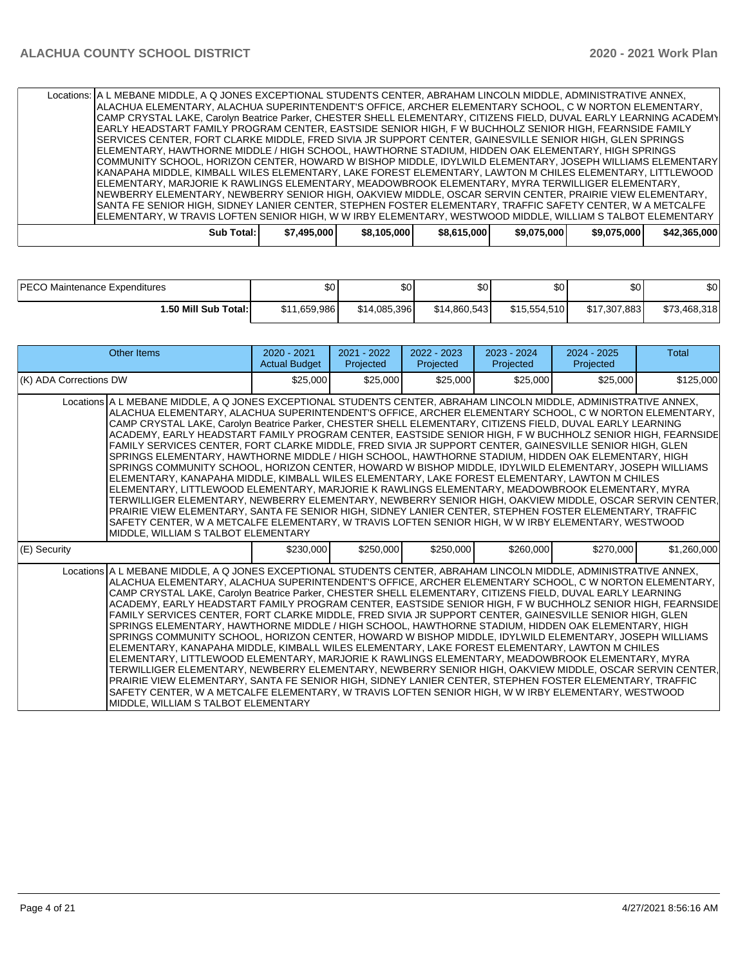| Locations:   A L MEBANE MIDDLE, A Q JONES EXCEPTIONAL STUDENTS CENTER, ABRAHAM LINCOLN MIDDLE, ADMINISTRATIVE ANNEX, |             |             |             |             |             |              |
|----------------------------------------------------------------------------------------------------------------------|-------------|-------------|-------------|-------------|-------------|--------------|
| IALACHUA ELEMENTARY, ALACHUA SUPERINTENDENT'S OFFICE, ARCHER ELEMENTARY SCHOOL, C W NORTON ELEMENTARY,               |             |             |             |             |             |              |
| CAMP CRYSTAL LAKE, Carolyn Beatrice Parker, CHESTER SHELL ELEMENTARY, CITIZENS FIELD, DUVAL EARLY LEARNING ACADEMY   |             |             |             |             |             |              |
| EARLY HEADSTART FAMILY PROGRAM CENTER, EASTSIDE SENIOR HIGH, F W BUCHHOLZ SENIOR HIGH, FEARNSIDE FAMILY              |             |             |             |             |             |              |
| ISERVICES CENTER. FORT CLARKE MIDDLE. FRED SIVIA JR SUPPORT CENTER. GAINESVILLE SENIOR HIGH. GLEN SPRINGS            |             |             |             |             |             |              |
| ELEMENTARY, HAWTHORNE MIDDLE / HIGH SCHOOL, HAWTHORNE STADIUM, HIDDEN OAK ELEMENTARY, HIGH SPRINGS                   |             |             |             |             |             |              |
| COMMUNITY SCHOOL, HORIZON CENTER, HOWARD W BISHOP MIDDLE, IDYLWILD ELEMENTARY, JOSEPH WILLIAMS ELEMENTARY            |             |             |             |             |             |              |
| KANAPAHA MIDDLE, KIMBALL WILES ELEMENTARY, LAKE FOREST ELEMENTARY, LAWTON M CHILES ELEMENTARY, LITTLEWOOD            |             |             |             |             |             |              |
| ELEMENTARY, MARJORIE K RAWLINGS ELEMENTARY, MEADOWBROOK ELEMENTARY, MYRA TERWILLIGER ELEMENTARY,                     |             |             |             |             |             |              |
| INEWBERRY ELEMENTARY, NEWBERRY SENIOR HIGH, OAKVIEW MIDDLE, OSCAR SERVIN CENTER, PRAIRIE VIEW ELEMENTARY,            |             |             |             |             |             |              |
| ISANTA FE SENIOR HIGH, SIDNEY LANIER CENTER, STEPHEN FOSTER ELEMENTARY, TRAFFIC SAFETY CENTER, W A METCALFE          |             |             |             |             |             |              |
| ELEMENTARY, W TRAVIS LOFTEN SENIOR HIGH, W W IRBY ELEMENTARY, WESTWOOD MIDDLE, WILLIAM S TALBOT ELEMENTARY           |             |             |             |             |             |              |
| Sub Total:                                                                                                           | \$7.495.000 | \$8,105,000 | \$8,615,000 | \$9,075,000 | \$9.075.000 | \$42,365,000 |
|                                                                                                                      |             |             |             |             |             |              |

| <b>PECO Maintenance Expenditures</b> | ሖ∩<br>ΦU     | ሶሳ<br>υŒ     | ሶሰ<br>ას     | \$0          | ሶሳ<br>υU     | \$0          |
|--------------------------------------|--------------|--------------|--------------|--------------|--------------|--------------|
| 1.50 Mill Sub Total:                 | \$11,659,986 | \$14,085,396 | \$14,860,543 | \$15,554,510 | \$17,307,883 | \$73,468,318 |

| Other Items                                                                                                                                                                                                                                                                                                                                                                                                                                                                                                                                                                                                                                                                                                                                                                                                                                                                                                                                                                                                                                                                                                                                                                                                                                                                                                                                               | $2020 - 2021$<br><b>Actual Budget</b> | $2021 - 2022$<br>Projected | $2022 - 2023$<br>Projected | $2023 - 2024$<br>Projected | $2024 - 2025$<br>Projected | Total       |  |
|-----------------------------------------------------------------------------------------------------------------------------------------------------------------------------------------------------------------------------------------------------------------------------------------------------------------------------------------------------------------------------------------------------------------------------------------------------------------------------------------------------------------------------------------------------------------------------------------------------------------------------------------------------------------------------------------------------------------------------------------------------------------------------------------------------------------------------------------------------------------------------------------------------------------------------------------------------------------------------------------------------------------------------------------------------------------------------------------------------------------------------------------------------------------------------------------------------------------------------------------------------------------------------------------------------------------------------------------------------------|---------------------------------------|----------------------------|----------------------------|----------------------------|----------------------------|-------------|--|
| (K) ADA Corrections DW                                                                                                                                                                                                                                                                                                                                                                                                                                                                                                                                                                                                                                                                                                                                                                                                                                                                                                                                                                                                                                                                                                                                                                                                                                                                                                                                    | \$25,000                              | \$25,000                   | \$25,000                   | \$25,000                   | \$25,000                   | \$125,000   |  |
| Locations A L MEBANE MIDDLE, A Q JONES EXCEPTIONAL STUDENTS CENTER, ABRAHAM LINCOLN MIDDLE, ADMINISTRATIVE ANNEX,<br>ALACHUA ELEMENTARY, ALACHUA SUPERINTENDENT'S OFFICE, ARCHER ELEMENTARY SCHOOL, C W NORTON ELEMENTARY,<br>CAMP CRYSTAL LAKE, Carolyn Beatrice Parker, CHESTER SHELL ELEMENTARY, CITIZENS FIELD, DUVAL EARLY LEARNING<br>ACADEMY, EARLY HEADSTART FAMILY PROGRAM CENTER, EASTSIDE SENIOR HIGH, F W BUCHHOLZ SENIOR HIGH, FEARNSIDE<br>FAMILY SERVICES CENTER, FORT CLARKE MIDDLE, FRED SIVIA JR SUPPORT CENTER, GAINESVILLE SENIOR HIGH, GLEN<br>SPRINGS ELEMENTARY, HAWTHORNE MIDDLE / HIGH SCHOOL, HAWTHORNE STADIUM, HIDDEN OAK ELEMENTARY, HIGH<br>SPRINGS COMMUNITY SCHOOL, HORIZON CENTER, HOWARD W BISHOP MIDDLE, IDYLWILD ELEMENTARY, JOSEPH WILLIAMS<br>IELEMENTARY. KANAPAHA MIDDLE. KIMBALL WILES ELEMENTARY. LAKE FOREST ELEMENTARY. LAWTON M CHILES<br>ELEMENTARY, LITTLEWOOD ELEMENTARY, MARJORIE K RAWLINGS ELEMENTARY, MEADOWBROOK ELEMENTARY, MYRA<br>TERWILLIGER ELEMENTARY, NEWBERRY ELEMENTARY, NEWBERRY SENIOR HIGH, OAKVIEW MIDDLE, OSCAR SERVIN CENTER,<br>PRAIRIE VIEW ELEMENTARY, SANTA FE SENIOR HIGH, SIDNEY LANIER CENTER, STEPHEN FOSTER ELEMENTARY, TRAFFIC<br>SAFETY CENTER, W A METCALFE ELEMENTARY, W TRAVIS LOFTEN SENIOR HIGH, W W IRBY ELEMENTARY, WESTWOOD<br>MIDDLE, WILLIAM S TALBOT ELEMENTARY |                                       |                            |                            |                            |                            |             |  |
| (E) Security                                                                                                                                                                                                                                                                                                                                                                                                                                                                                                                                                                                                                                                                                                                                                                                                                                                                                                                                                                                                                                                                                                                                                                                                                                                                                                                                              | \$230,000                             | \$250,000                  | \$250,000                  | \$260,000                  | \$270,000                  | \$1,260,000 |  |
| Locations A L MEBANE MIDDLE, A Q JONES EXCEPTIONAL STUDENTS CENTER, ABRAHAM LINCOLN MIDDLE, ADMINISTRATIVE ANNEX,<br>ALACHUA ELEMENTARY, ALACHUA SUPERINTENDENT'S OFFICE, ARCHER ELEMENTARY SCHOOL, C W NORTON ELEMENTARY,<br>CAMP CRYSTAL LAKE, Carolyn Beatrice Parker, CHESTER SHELL ELEMENTARY, CITIZENS FIELD, DUVAL EARLY LEARNING<br>ACADEMY, EARLY HEADSTART FAMILY PROGRAM CENTER, EASTSIDE SENIOR HIGH, F W BUCHHOLZ SENIOR HIGH, FEARNSIDE<br>FAMILY SERVICES CENTER. FORT CLARKE MIDDLE. FRED SIVIA JR SUPPORT CENTER. GAINESVILLE SENIOR HIGH. GLEN<br>SPRINGS ELEMENTARY, HAWTHORNE MIDDLE / HIGH SCHOOL, HAWTHORNE STADIUM, HIDDEN OAK ELEMENTARY, HIGH<br>SPRINGS COMMUNITY SCHOOL, HORIZON CENTER, HOWARD W BISHOP MIDDLE, IDYLWILD ELEMENTARY, JOSEPH WILLIAMS<br>ELEMENTARY, KANAPAHA MIDDLE, KIMBALL WILES ELEMENTARY, LAKE FOREST ELEMENTARY, LAWTON M CHILES<br>ELEMENTARY, LITTLEWOOD ELEMENTARY, MARJORIE K RAWLINGS ELEMENTARY, MEADOWBROOK ELEMENTARY, MYRA<br>TERWILLIGER ELEMENTARY, NEWBERRY ELEMENTARY, NEWBERRY SENIOR HIGH, OAKVIEW MIDDLE, OSCAR SERVIN CENTER,<br>PRAIRIE VIEW ELEMENTARY, SANTA FE SENIOR HIGH, SIDNEY LANIER CENTER, STEPHEN FOSTER ELEMENTARY, TRAFFIC<br>SAFETY CENTER, W A METCALFE ELEMENTARY, W TRAVIS LOFTEN SENIOR HIGH, W W IRBY ELEMENTARY, WESTWOOD<br>IMIDDLE. WILLIAM S TALBOT ELEMENTARY |                                       |                            |                            |                            |                            |             |  |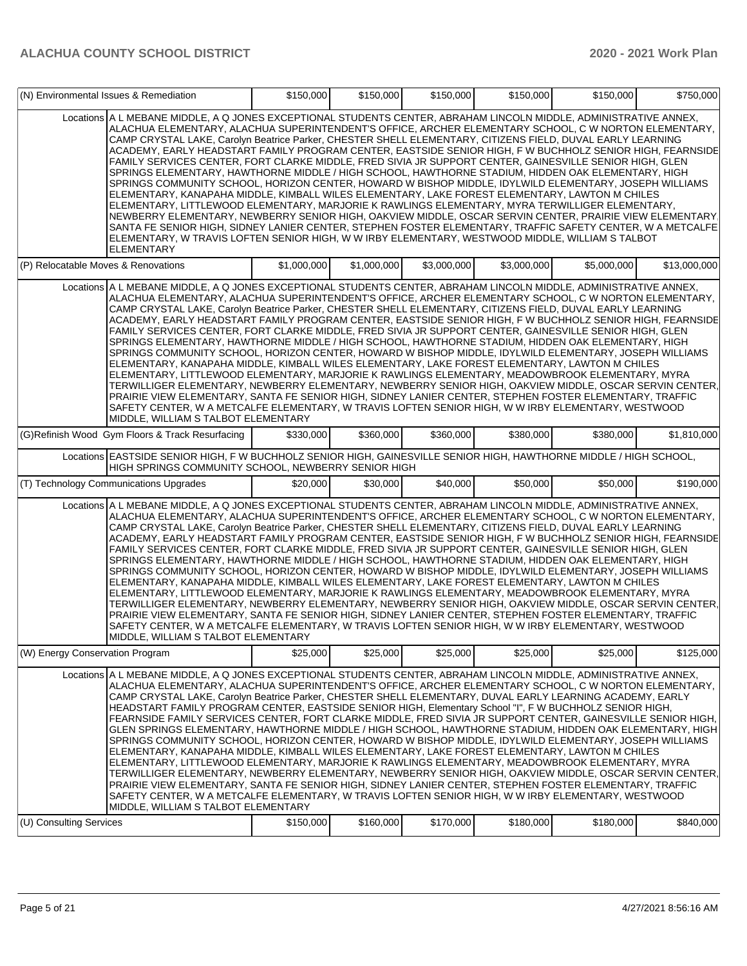|                                     | (N) Environmental Issues & Remediation                                                                                                                                                                                                                                                                                                                                                                                                                                                                                                                                                                                                                                                                                                                                                                                                                                                                                                                                                                                                                                                                                                                                                                                                                                                                                                                          | \$150,000   | \$150,000   | \$150,000   | \$150,000   | \$150,000   | \$750,000    |
|-------------------------------------|-----------------------------------------------------------------------------------------------------------------------------------------------------------------------------------------------------------------------------------------------------------------------------------------------------------------------------------------------------------------------------------------------------------------------------------------------------------------------------------------------------------------------------------------------------------------------------------------------------------------------------------------------------------------------------------------------------------------------------------------------------------------------------------------------------------------------------------------------------------------------------------------------------------------------------------------------------------------------------------------------------------------------------------------------------------------------------------------------------------------------------------------------------------------------------------------------------------------------------------------------------------------------------------------------------------------------------------------------------------------|-------------|-------------|-------------|-------------|-------------|--------------|
|                                     | Locations A L MEBANE MIDDLE, A Q JONES EXCEPTIONAL STUDENTS CENTER, ABRAHAM LINCOLN MIDDLE, ADMINISTRATIVE ANNEX,<br>ALACHUA ELEMENTARY, ALACHUA SUPERINTENDENT'S OFFICE, ARCHER ELEMENTARY SCHOOL, C W NORTON ELEMENTARY,<br>CAMP CRYSTAL LAKE, Carolyn Beatrice Parker, CHESTER SHELL ELEMENTARY, CITIZENS FIELD, DUVAL EARLY LEARNING<br>ACADEMY, EARLY HEADSTART FAMILY PROGRAM CENTER, EASTSIDE SENIOR HIGH, F W BUCHHOLZ SENIOR HIGH, FEARNSIDE<br>FAMILY SERVICES CENTER, FORT CLARKE MIDDLE, FRED SIVIA JR SUPPORT CENTER, GAINESVILLE SENIOR HIGH, GLEN<br>SPRINGS ELEMENTARY, HAWTHORNE MIDDLE / HIGH SCHOOL, HAWTHORNE STADIUM, HIDDEN OAK ELEMENTARY, HIGH<br>SPRINGS COMMUNITY SCHOOL, HORIZON CENTER, HOWARD W BISHOP MIDDLE, IDYLWILD ELEMENTARY, JOSEPH WILLIAMS<br>ELEMENTARY, KANAPAHA MIDDLE, KIMBALL WILES ELEMENTARY, LAKE FOREST ELEMENTARY, LAWTON M CHILES<br>ELEMENTARY, LITTLEWOOD ELEMENTARY, MARJORIE K RAWLINGS ELEMENTARY, MYRA TERWILLIGER ELEMENTARY,<br>NEWBERRY ELEMENTARY, NEWBERRY SENIOR HIGH, OAKVIEW MIDDLE, OSCAR SERVIN CENTER, PRAIRIE VIEW ELEMENTARY,<br>SANTA FE SENIOR HIGH, SIDNEY LANIER CENTER, STEPHEN FOSTER ELEMENTARY, TRAFFIC SAFETY CENTER, W A METCALFE<br>ELEMENTARY, W TRAVIS LOFTEN SENIOR HIGH, W W IRBY ELEMENTARY, WESTWOOD MIDDLE, WILLIAM S TALBOT<br><b>ELEMENTARY</b>                         |             |             |             |             |             |              |
| (P) Relocatable Moves & Renovations |                                                                                                                                                                                                                                                                                                                                                                                                                                                                                                                                                                                                                                                                                                                                                                                                                                                                                                                                                                                                                                                                                                                                                                                                                                                                                                                                                                 | \$1,000,000 | \$1,000,000 | \$3,000,000 | \$3,000,000 | \$5,000,000 | \$13,000,000 |
|                                     | Locations A L MEBANE MIDDLE, A Q JONES EXCEPTIONAL STUDENTS CENTER, ABRAHAM LINCOLN MIDDLE, ADMINISTRATIVE ANNEX,<br>ALACHUA ELEMENTARY, ALACHUA SUPERINTENDENT'S OFFICE, ARCHER ELEMENTARY SCHOOL, C W NORTON ELEMENTARY,<br>CAMP CRYSTAL LAKE, Carolyn Beatrice Parker, CHESTER SHELL ELEMENTARY, CITIZENS FIELD, DUVAL EARLY LEARNING<br>ACADEMY, EARLY HEADSTART FAMILY PROGRAM CENTER, EASTSIDE SENIOR HIGH, F W BUCHHOLZ SENIOR HIGH, FEARNSIDE<br>FAMILY SERVICES CENTER. FORT CLARKE MIDDLE, FRED SIVIA JR SUPPORT CENTER, GAINESVILLE SENIOR HIGH, GLEN<br>SPRINGS ELEMENTARY, HAWTHORNE MIDDLE / HIGH SCHOOL, HAWTHORNE STADIUM, HIDDEN OAK ELEMENTARY, HIGH<br>SPRINGS COMMUNITY SCHOOL. HORIZON CENTER, HOWARD W BISHOP MIDDLE, IDYLWILD ELEMENTARY, JOSEPH WILLIAMS<br>ELEMENTARY, KANAPAHA MIDDLE, KIMBALL WILES ELEMENTARY, LAKE FOREST ELEMENTARY, LAWTON M CHILES<br>ELEMENTARY. LITTLEWOOD ELEMENTARY. MARJORIE K RAWLINGS ELEMENTARY. MEADOWBROOK ELEMENTARY. MYRA<br>TERWILLIGER ELEMENTARY, NEWBERRY ELEMENTARY, NEWBERRY SENIOR HIGH, OAKVIEW MIDDLE, OSCAR SERVIN CENTER,<br>PRAIRIE VIEW ELEMENTARY, SANTA FE SENIOR HIGH, SIDNEY LANIER CENTER, STEPHEN FOSTER ELEMENTARY, TRAFFIC<br>SAFETY CENTER, W A METCALFE ELEMENTARY, W TRAVIS LOFTEN SENIOR HIGH, W W IRBY ELEMENTARY, WESTWOOD<br>MIDDLE, WILLIAM S TALBOT ELEMENTARY        |             |             |             |             |             |              |
|                                     | (G)Refinish Wood Gym Floors & Track Resurfacing                                                                                                                                                                                                                                                                                                                                                                                                                                                                                                                                                                                                                                                                                                                                                                                                                                                                                                                                                                                                                                                                                                                                                                                                                                                                                                                 | \$330,000   | \$360,000   | \$360,000   | \$380,000   | \$380,000   | \$1,810,000  |
|                                     | Locations EASTSIDE SENIOR HIGH, F W BUCHHOLZ SENIOR HIGH, GAINESVILLE SENIOR HIGH, HAWTHORNE MIDDLE / HIGH SCHOOL,<br>HIGH SPRINGS COMMUNITY SCHOOL, NEWBERRY SENIOR HIGH                                                                                                                                                                                                                                                                                                                                                                                                                                                                                                                                                                                                                                                                                                                                                                                                                                                                                                                                                                                                                                                                                                                                                                                       |             |             |             |             |             |              |
|                                     | (T) Technology Communications Upgrades                                                                                                                                                                                                                                                                                                                                                                                                                                                                                                                                                                                                                                                                                                                                                                                                                                                                                                                                                                                                                                                                                                                                                                                                                                                                                                                          | \$20,000    | \$30,000    | \$40,000    | \$50,000    | \$50,000    | \$190,000    |
|                                     | Locations A L MEBANE MIDDLE, A Q JONES EXCEPTIONAL STUDENTS CENTER, ABRAHAM LINCOLN MIDDLE, ADMINISTRATIVE ANNEX,<br>ALACHUA ELEMENTARY, ALACHUA SUPERINTENDENT'S OFFICE, ARCHER ELEMENTARY SCHOOL, C W NORTON ELEMENTARY,<br>CAMP CRYSTAL LAKE, Carolyn Beatrice Parker, CHESTER SHELL ELEMENTARY, CITIZENS FIELD, DUVAL EARLY LEARNING<br>ACADEMY, EARLY HEADSTART FAMILY PROGRAM CENTER, EASTSIDE SENIOR HIGH, F W BUCHHOLZ SENIOR HIGH, FEARNSIDE<br>FAMILY SERVICES CENTER, FORT CLARKE MIDDLE, FRED SIVIA JR SUPPORT CENTER, GAINESVILLE SENIOR HIGH, GLEN<br>SPRINGS ELEMENTARY, HAWTHORNE MIDDLE / HIGH SCHOOL, HAWTHORNE STADIUM, HIDDEN OAK ELEMENTARY, HIGH<br>SPRINGS COMMUNITY SCHOOL, HORIZON CENTER, HOWARD W BISHOP MIDDLE, IDYLWILD ELEMENTARY, JOSEPH WILLIAMS<br>ELEMENTARY, KANAPAHA MIDDLE, KIMBALL WILES ELEMENTARY, LAKE FOREST ELEMENTARY, LAWTON M CHILES<br>ELEMENTARY, LITTLEWOOD ELEMENTARY, MARJORIE K RAWLINGS ELEMENTARY, MEADOWBROOK ELEMENTARY, MYRA<br>TERWILLIGER ELEMENTARY, NEWBERRY ELEMENTARY, NEWBERRY SENIOR HIGH, OAKVIEW MIDDLE, OSCAR SERVIN CENTER,<br>PRAIRIE VIEW ELEMENTARY, SANTA FE SENIOR HIGH, SIDNEY LANIER CENTER, STEPHEN FOSTER ELEMENTARY, TRAFFIC<br>SAFETY CENTER, W A METCALFE ELEMENTARY, W TRAVIS LOFTEN SENIOR HIGH, W W IRBY ELEMENTARY, WESTWOOD<br>MIDDLE, WILLIAM S TALBOT ELEMENTARY        |             |             |             |             |             |              |
| (W) Energy Conservation Program     |                                                                                                                                                                                                                                                                                                                                                                                                                                                                                                                                                                                                                                                                                                                                                                                                                                                                                                                                                                                                                                                                                                                                                                                                                                                                                                                                                                 | \$25,000    | \$25,000    | \$25,000    | \$25,000    | \$25,000    | \$125,000    |
|                                     | Locations A L MEBANE MIDDLE, A Q JONES EXCEPTIONAL STUDENTS CENTER, ABRAHAM LINCOLN MIDDLE, ADMINISTRATIVE ANNEX,<br>ALACHUA ELEMENTARY, ALACHUA SUPERINTENDENT'S OFFICE, ARCHER ELEMENTARY SCHOOL, C W NORTON ELEMENTARY,<br>CAMP CRYSTAL LAKE, Carolyn Beatrice Parker, CHESTER SHELL ELEMENTARY, DUVAL EARLY LEARNING ACADEMY, EARLY<br>HEADSTART FAMILY PROGRAM CENTER, EASTSIDE SENIOR HIGH, Elementary School "I", F W BUCHHOLZ SENIOR HIGH,<br>FEARNSIDE FAMILY SERVICES CENTER, FORT CLARKE MIDDLE, FRED SIVIA JR SUPPORT CENTER, GAINESVILLE SENIOR HIGH,<br>GLEN SPRINGS ELEMENTARY, HAWTHORNE MIDDLE / HIGH SCHOOL, HAWTHORNE STADIUM, HIDDEN OAK ELEMENTARY, HIGH<br>SPRINGS COMMUNITY SCHOOL, HORIZON CENTER, HOWARD W BISHOP MIDDLE, IDYLWILD ELEMENTARY, JOSEPH WILLIAMS<br>ELEMENTARY, KANAPAHA MIDDLE, KIMBALL WILES ELEMENTARY, LAKE FOREST ELEMENTARY, LAWTON M CHILES<br>ELEMENTARY, LITTLEWOOD ELEMENTARY, MARJORIE K RAWLINGS ELEMENTARY, MEADOWBROOK ELEMENTARY, MYRA<br>TERWILLIGER ELEMENTARY, NEWBERRY ELEMENTARY, NEWBERRY SENIOR HIGH, OAKVIEW MIDDLE, OSCAR SERVIN CENTER,<br>PRAIRIE VIEW ELEMENTARY, SANTA FE SENIOR HIGH, SIDNEY LANIER CENTER, STEPHEN FOSTER ELEMENTARY, TRAFFIC<br>SAFETY CENTER, W A METCALFE ELEMENTARY, W TRAVIS LOFTEN SENIOR HIGH, W W IRBY ELEMENTARY, WESTWOOD<br>MIDDLE, WILLIAM S TALBOT ELEMENTARY |             |             |             |             |             |              |
| (U) Consulting Services             |                                                                                                                                                                                                                                                                                                                                                                                                                                                                                                                                                                                                                                                                                                                                                                                                                                                                                                                                                                                                                                                                                                                                                                                                                                                                                                                                                                 | \$150,000   | \$160,000   | \$170,000   | \$180,000   | \$180,000   | \$840,000    |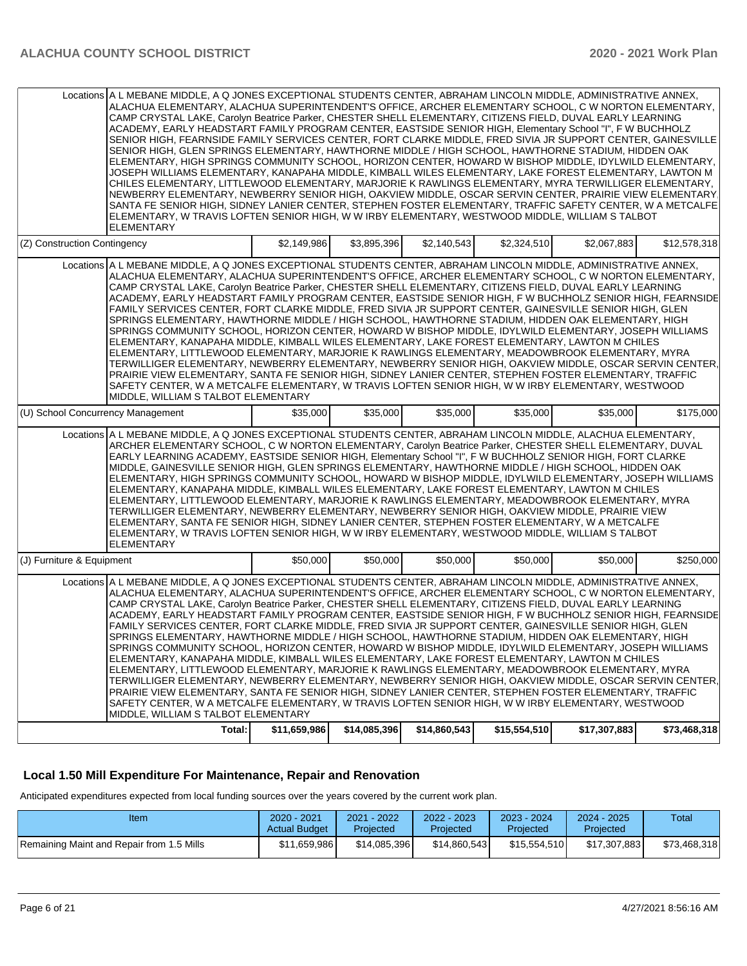| Locations A L MEBANE MIDDLE, A Q JONES EXCEPTIONAL STUDENTS CENTER, ABRAHAM LINCOLN MIDDLE, ADMINISTRATIVE ANNEX,<br><b>ELEMENTARY</b> |                                     |              |              |              |              | ALACHUA ELEMENTARY, ALACHUA SUPERINTENDENT'S OFFICE, ARCHER ELEMENTARY SCHOOL, C W NORTON ELEMENTARY,<br>CAMP CRYSTAL LAKE, Carolyn Beatrice Parker, CHESTER SHELL ELEMENTARY, CITIZENS FIELD, DUVAL EARLY LEARNING<br>ACADEMY, EARLY HEADSTART FAMILY PROGRAM CENTER, EASTSIDE SENIOR HIGH, Elementary School "I", F W BUCHHOLZ<br>SENIOR HIGH, FEARNSIDE FAMILY SERVICES CENTER, FORT CLARKE MIDDLE, FRED SIVIA JR SUPPORT CENTER, GAINESVILLE<br>SENIOR HIGH, GLEN SPRINGS ELEMENTARY, HAWTHORNE MIDDLE / HIGH SCHOOL, HAWTHORNE STADIUM, HIDDEN OAK<br>ELEMENTARY, HIGH SPRINGS COMMUNITY SCHOOL, HORIZON CENTER, HOWARD W BISHOP MIDDLE, IDYLWILD ELEMENTARY,<br>JOSEPH WILLIAMS ELEMENTARY, KANAPAHA MIDDLE, KIMBALL WILES ELEMENTARY, LAKE FOREST ELEMENTARY, LAWTON M<br>CHILES ELEMENTARY, LITTLEWOOD ELEMENTARY, MARJORIE K RAWLINGS ELEMENTARY, MYRA TERWILLIGER ELEMENTARY,<br>NEWBERRY ELEMENTARY, NEWBERRY SENIOR HIGH, OAKVIEW MIDDLE, OSCAR SERVIN CENTER, PRAIRIE VIEW ELEMENTARY<br>SANTA FE SENIOR HIGH, SIDNEY LANIER CENTER, STEPHEN FOSTER ELEMENTARY, TRAFFIC SAFETY CENTER, W A METCALFE<br>ELEMENTARY, W TRAVIS LOFTEN SENIOR HIGH, W W IRBY ELEMENTARY, WESTWOOD MIDDLE, WILLIAM S TALBOT |              |
|----------------------------------------------------------------------------------------------------------------------------------------|-------------------------------------|--------------|--------------|--------------|--------------|---------------------------------------------------------------------------------------------------------------------------------------------------------------------------------------------------------------------------------------------------------------------------------------------------------------------------------------------------------------------------------------------------------------------------------------------------------------------------------------------------------------------------------------------------------------------------------------------------------------------------------------------------------------------------------------------------------------------------------------------------------------------------------------------------------------------------------------------------------------------------------------------------------------------------------------------------------------------------------------------------------------------------------------------------------------------------------------------------------------------------------------------------------------------------------------------------------------------|--------------|
| (Z) Construction Contingency                                                                                                           |                                     | \$2,149,986  | \$3,895,396  | \$2,140,543  | \$2,324,510  | \$2,067,883                                                                                                                                                                                                                                                                                                                                                                                                                                                                                                                                                                                                                                                                                                                                                                                                                                                                                                                                                                                                                                                                                                                                                                                                         | \$12,578,318 |
| Locations A L MEBANE MIDDLE, A Q JONES EXCEPTIONAL STUDENTS CENTER, ABRAHAM LINCOLN MIDDLE, ADMINISTRATIVE ANNEX,                      | MIDDLE, WILLIAM S TALBOT ELEMENTARY |              |              |              |              | ALACHUA ELEMENTARY, ALACHUA SUPERINTENDENT'S OFFICE, ARCHER ELEMENTARY SCHOOL, C W NORTON ELEMENTARY,<br>CAMP CRYSTAL LAKE, Carolyn Beatrice Parker, CHESTER SHELL ELEMENTARY, CITIZENS FIELD, DUVAL EARLY LEARNING<br>ACADEMY, EARLY HEADSTART FAMILY PROGRAM CENTER, EASTSIDE SENIOR HIGH, F W BUCHHOLZ SENIOR HIGH, FEARNSIDE<br>FAMILY SERVICES CENTER, FORT CLARKE MIDDLE, FRED SIVIA JR SUPPORT CENTER, GAINESVILLE SENIOR HIGH, GLEN<br>SPRINGS ELEMENTARY, HAWTHORNE MIDDLE / HIGH SCHOOL, HAWTHORNE STADIUM, HIDDEN OAK ELEMENTARY, HIGH<br>SPRINGS COMMUNITY SCHOOL, HORIZON CENTER, HOWARD W BISHOP MIDDLE, IDYLWILD ELEMENTARY, JOSEPH WILLIAMS<br>ELEMENTARY, KANAPAHA MIDDLE, KIMBALL WILES ELEMENTARY, LAKE FOREST ELEMENTARY, LAWTON M CHILES<br>ELEMENTARY, LITTLEWOOD ELEMENTARY, MARJORIE K RAWLINGS ELEMENTARY, MEADOWBROOK ELEMENTARY, MYRA<br>TERWILLIGER ELEMENTARY, NEWBERRY ELEMENTARY, NEWBERRY SENIOR HIGH, OAKVIEW MIDDLE, OSCAR SERVIN CENTER,<br>PRAIRIE VIEW ELEMENTARY, SANTA FE SENIOR HIGH, SIDNEY LANIER CENTER, STEPHEN FOSTER ELEMENTARY, TRAFFIC<br>SAFETY CENTER, W A METCALFE ELEMENTARY, W TRAVIS LOFTEN SENIOR HIGH, W W IRBY ELEMENTARY, WESTWOOD                        |              |
| (U) School Concurrency Management                                                                                                      |                                     | \$35,000     | \$35,000     | \$35,000     | \$35,000     | \$35,000                                                                                                                                                                                                                                                                                                                                                                                                                                                                                                                                                                                                                                                                                                                                                                                                                                                                                                                                                                                                                                                                                                                                                                                                            | \$175,000    |
| Locations A L MEBANE MIDDLE, A Q JONES EXCEPTIONAL STUDENTS CENTER, ABRAHAM LINCOLN MIDDLE, ALACHUA ELEMENTARY,<br><b>ELEMENTARY</b>   |                                     |              |              |              |              | ARCHER ELEMENTARY SCHOOL, C W NORTON ELEMENTARY, Carolyn Beatrice Parker, CHESTER SHELL ELEMENTARY, DUVAL<br>EARLY LEARNING ACADEMY, EASTSIDE SENIOR HIGH, Elementary School "I", F W BUCHHOLZ SENIOR HIGH, FORT CLARKE<br>MIDDLE, GAINESVILLE SENIOR HIGH, GLEN SPRINGS ELEMENTARY, HAWTHORNE MIDDLE / HIGH SCHOOL, HIDDEN OAK<br>ELEMENTARY, HIGH SPRINGS COMMUNITY SCHOOL, HOWARD W BISHOP MIDDLE, IDYLWILD ELEMENTARY, JOSEPH WILLIAMS<br>ELEMENTARY, KANAPAHA MIDDLE, KIMBALL WILES ELEMENTARY, LAKE FOREST ELEMENTARY, LAWTON M CHILES<br>ELEMENTARY, LITTLEWOOD ELEMENTARY, MARJORIE K RAWLINGS ELEMENTARY, MEADOWBROOK ELEMENTARY, MYRA<br>TERWILLIGER ELEMENTARY, NEWBERRY ELEMENTARY, NEWBERRY SENIOR HIGH, OAKVIEW MIDDLE, PRAIRIE VIEW<br>ELEMENTARY, SANTA FE SENIOR HIGH, SIDNEY LANIER CENTER, STEPHEN FOSTER ELEMENTARY, W A METCALFE<br>ELEMENTARY, W TRAVIS LOFTEN SENIOR HIGH, W W IRBY ELEMENTARY, WESTWOOD MIDDLE, WILLIAM S TALBOT                                                                                                                                                                                                                                                            |              |
| (J) Furniture & Equipment                                                                                                              |                                     | \$50,000     | \$50,000     | \$50,000     | \$50,000     | \$50,000                                                                                                                                                                                                                                                                                                                                                                                                                                                                                                                                                                                                                                                                                                                                                                                                                                                                                                                                                                                                                                                                                                                                                                                                            | \$250,000    |
| Locations A L MEBANE MIDDLE, A Q JONES EXCEPTIONAL STUDENTS CENTER, ABRAHAM LINCOLN MIDDLE, ADMINISTRATIVE ANNEX,                      | MIDDLE. WILLIAM S TALBOT ELEMENTARY |              |              |              |              | ALACHUA ELEMENTARY, ALACHUA SUPERINTENDENT'S OFFICE, ARCHER ELEMENTARY SCHOOL, C W NORTON ELEMENTARY,<br>CAMP CRYSTAL LAKE, Carolyn Beatrice Parker, CHESTER SHELL ELEMENTARY, CITIZENS FIELD, DUVAL EARLY LEARNING<br>ACADEMY, EARLY HEADSTART FAMILY PROGRAM CENTER, EASTSIDE SENIOR HIGH, F W BUCHHOLZ SENIOR HIGH, FEARNSIDE<br>FAMILY SERVICES CENTER, FORT CLARKE MIDDLE, FRED SIVIA JR SUPPORT CENTER, GAINESVILLE SENIOR HIGH, GLEN<br>SPRINGS ELEMENTARY, HAWTHORNE MIDDLE / HIGH SCHOOL, HAWTHORNE STADIUM, HIDDEN OAK ELEMENTARY, HIGH<br>SPRINGS COMMUNITY SCHOOL, HORIZON CENTER, HOWARD W BISHOP MIDDLE, IDYLWILD ELEMENTARY, JOSEPH WILLIAMS<br>ELEMENTARY, KANAPAHA MIDDLE, KIMBALL WILES ELEMENTARY, LAKE FOREST ELEMENTARY, LAWTON M CHILES<br>ELEMENTARY, LITTLEWOOD ELEMENTARY, MARJORIE K RAWLINGS ELEMENTARY, MEADOWBROOK ELEMENTARY, MYRA<br>TERWILLIGER ELEMENTARY, NEWBERRY ELEMENTARY, NEWBERRY SENIOR HIGH, OAKVIEW MIDDLE, OSCAR SERVIN CENTER,<br>PRAIRIE VIEW ELEMENTARY, SANTA FE SENIOR HIGH, SIDNEY LANIER CENTER, STEPHEN FOSTER ELEMENTARY, TRAFFIC<br>SAFETY CENTER, W A METCALFE ELEMENTARY, W TRAVIS LOFTEN SENIOR HIGH, W W IRBY ELEMENTARY, WESTWOOD                        |              |
|                                                                                                                                        | Total:                              | \$11,659,986 | \$14,085,396 | \$14,860,543 | \$15,554,510 | \$17,307,883                                                                                                                                                                                                                                                                                                                                                                                                                                                                                                                                                                                                                                                                                                                                                                                                                                                                                                                                                                                                                                                                                                                                                                                                        | \$73,468,318 |

# **Local 1.50 Mill Expenditure For Maintenance, Repair and Renovation**

Anticipated expenditures expected from local funding sources over the years covered by the current work plan.

| Item                                      | 2020 - 2021<br><b>Actual Budget</b> | 2021 - 2022<br>Projected | 2022 - 2023<br>Projected | $2023 - 2024$<br>Projected | $2024 - 2025$<br>Projected | <b>Total</b> |
|-------------------------------------------|-------------------------------------|--------------------------|--------------------------|----------------------------|----------------------------|--------------|
| Remaining Maint and Repair from 1.5 Mills | \$11.659.986                        | \$14.085.396             | \$14.860.543             | \$15.554.510               | \$17.307.883               | \$73.468.318 |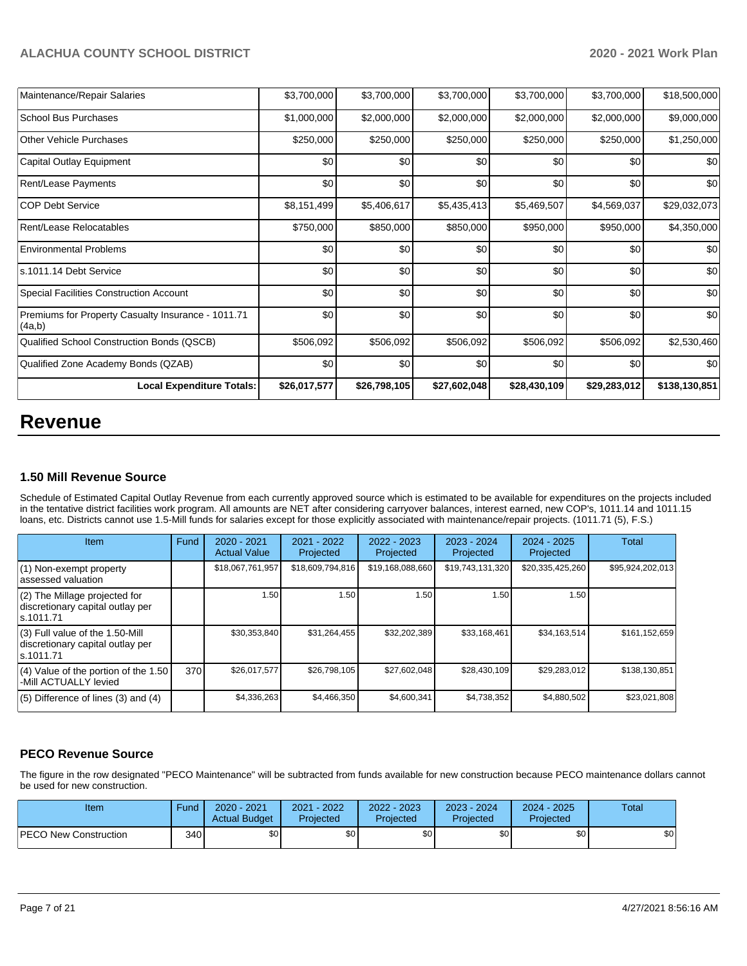| Maintenance/Repair Salaries                                  | \$3,700,000  | \$3,700,000  | \$3,700,000  | \$3,700,000  | \$3,700,000  | \$18,500,000  |
|--------------------------------------------------------------|--------------|--------------|--------------|--------------|--------------|---------------|
| School Bus Purchases                                         | \$1,000,000  | \$2,000,000  | \$2,000,000  | \$2,000,000  | \$2,000,000  | \$9,000,000   |
| <b>Other Vehicle Purchases</b>                               | \$250,000    | \$250,000    | \$250,000    | \$250,000    | \$250,000    | \$1,250,000   |
| Capital Outlay Equipment                                     | \$0          | \$0          | \$0          | \$0          | \$0          | \$0           |
| Rent/Lease Payments                                          | \$0          | \$0          | \$0          | \$0          | \$0          | \$0           |
| <b>COP Debt Service</b>                                      | \$8,151,499  | \$5,406,617  | \$5,435,413  | \$5,469,507  | \$4,569,037  | \$29,032,073  |
| Rent/Lease Relocatables                                      | \$750,000    | \$850,000    | \$850,000    | \$950,000    | \$950,000    | \$4,350,000   |
| <b>Environmental Problems</b>                                | \$0          | \$0          | \$0          | \$0          | \$0          | \$0           |
| s.1011.14 Debt Service                                       | \$0          | \$0          | \$0          | \$0          | \$0          | \$0           |
| <b>Special Facilities Construction Account</b>               | \$0          | \$0          | \$0          | \$0          | \$0          | \$0           |
| Premiums for Property Casualty Insurance - 1011.71<br>(4a,b) | \$0          | \$0          | \$0          | \$0          | \$0          | \$0           |
| Qualified School Construction Bonds (QSCB)                   | \$506,092    | \$506,092    | \$506,092    | \$506,092    | \$506,092    | \$2,530,460   |
| Qualified Zone Academy Bonds (QZAB)                          | \$0          | \$0          | \$0          | \$0          | \$0          | \$0           |
| <b>Local Expenditure Totals:</b>                             | \$26,017,577 | \$26,798,105 | \$27,602,048 | \$28,430,109 | \$29,283,012 | \$138,130,851 |

# **Revenue**

# **1.50 Mill Revenue Source**

Schedule of Estimated Capital Outlay Revenue from each currently approved source which is estimated to be available for expenditures on the projects included in the tentative district facilities work program. All amounts are NET after considering carryover balances, interest earned, new COP's, 1011.14 and 1011.15 loans, etc. Districts cannot use 1.5-Mill funds for salaries except for those explicitly associated with maintenance/repair projects. (1011.71 (5), F.S.)

| <b>Item</b>                                                                         | Fund | $2020 - 2021$<br><b>Actual Value</b> | $2021 - 2022$<br>Projected | $2022 - 2023$<br>Projected | $2023 - 2024$<br>Projected | $2024 - 2025$<br>Projected | <b>Total</b>     |
|-------------------------------------------------------------------------------------|------|--------------------------------------|----------------------------|----------------------------|----------------------------|----------------------------|------------------|
| (1) Non-exempt property<br>lassessed valuation                                      |      | \$18,067,761,957                     | \$18,609,794,816           | \$19,168,088,660           | \$19,743,131,320           | \$20,335,425,260           | \$95,924,202,013 |
| $(2)$ The Millage projected for<br>discretionary capital outlay per<br>ls.1011.71   |      | 1.50                                 | 1.50                       | 1.50                       | 1.50                       | 1.50                       |                  |
| $(3)$ Full value of the 1.50-Mill<br>discretionary capital outlay per<br>ls.1011.71 |      | \$30,353,840                         | \$31,264,455               | \$32,202,389               | \$33,168,461               | \$34,163,514               | \$161,152,659    |
| (4) Value of the portion of the 1.50<br>-Mill ACTUALLY levied                       | 370  | \$26,017,577                         | \$26,798,105               | \$27,602,048               | \$28,430,109               | \$29,283,012               | \$138,130,851    |
| $(5)$ Difference of lines $(3)$ and $(4)$                                           |      | \$4,336,263                          | \$4,466,350                | \$4,600,341                | \$4,738,352                | \$4,880,502                | \$23,021,808     |

# **PECO Revenue Source**

The figure in the row designated "PECO Maintenance" will be subtracted from funds available for new construction because PECO maintenance dollars cannot be used for new construction.

| Item                         | Fund  | 2020 - 2021<br><b>Actual Budget</b> | $-2022$<br>2021<br>Projected | 2022 - 2023<br>Projected | 2023 - 2024<br>Projected | $2024 - 2025$<br>Projected | Total |
|------------------------------|-------|-------------------------------------|------------------------------|--------------------------|--------------------------|----------------------------|-------|
| <b>PECO New Construction</b> | 340 l | \$0 <sub>1</sub>                    | \$0                          | \$0                      | ¢∩                       | \$0                        | \$0   |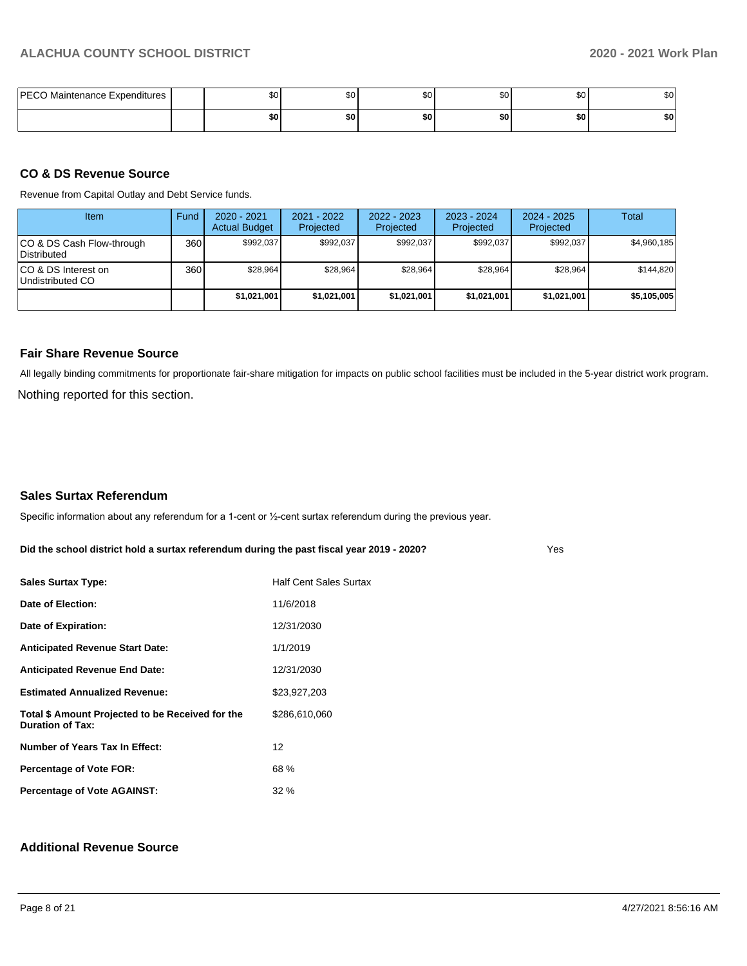| <b>PECO Maintenance Expenditures</b> | \$0 | \$0 <sub>1</sub> | \$C | ሶስ<br>ა∪ | ሰሰ<br>Ψ | ົົ<br>Ψ |
|--------------------------------------|-----|------------------|-----|----------|---------|---------|
|                                      | \$0 | \$0              | \$0 | \$0      | \$0     | \$0     |

## **CO & DS Revenue Source**

Revenue from Capital Outlay and Debt Service funds.

| Item                                      | Fund | $2020 - 2021$<br><b>Actual Budget</b> | 2021 - 2022<br>Projected | $2022 - 2023$<br>Projected | $2023 - 2024$<br>Projected | $2024 - 2025$<br>Projected | Total       |
|-------------------------------------------|------|---------------------------------------|--------------------------|----------------------------|----------------------------|----------------------------|-------------|
| ICO & DS Cash Flow-through<br>Distributed | 360  | \$992.037                             | \$992,037                | \$992.037                  | \$992.037                  | \$992,037                  | \$4,960,185 |
| ICO & DS Interest on<br>Undistributed CO  | 360  | \$28.964                              | \$28,964                 | \$28.964                   | \$28,964                   | \$28.964                   | \$144.820   |
|                                           |      | \$1,021,001                           | \$1,021,001              | \$1,021,001                | \$1,021,001                | \$1,021,001                | \$5,105,005 |

## **Fair Share Revenue Source**

Nothing reported for this section. All legally binding commitments for proportionate fair-share mitigation for impacts on public school facilities must be included in the 5-year district work program.

## **Sales Surtax Referendum**

Specific information about any referendum for a 1-cent or ½-cent surtax referendum during the previous year.

**Did the school district hold a surtax referendum during the past fiscal year 2019 - 2020?**

| <b>Sales Surtax Type:</b>                                                   | <b>Half Cent Sales Surtax</b> |
|-----------------------------------------------------------------------------|-------------------------------|
| Date of Election:                                                           | 11/6/2018                     |
| Date of Expiration:                                                         | 12/31/2030                    |
| <b>Anticipated Revenue Start Date:</b>                                      | 1/1/2019                      |
| <b>Anticipated Revenue End Date:</b>                                        | 12/31/2030                    |
| <b>Estimated Annualized Revenue:</b>                                        | \$23.927.203                  |
| Total \$ Amount Projected to be Received for the<br><b>Duration of Tax:</b> | \$286,610,060                 |
| <b>Number of Years Tax In Effect:</b>                                       | 12                            |
| <b>Percentage of Vote FOR:</b>                                              | 68 %                          |
| <b>Percentage of Vote AGAINST:</b>                                          | 32%                           |

# **Additional Revenue Source**

Yes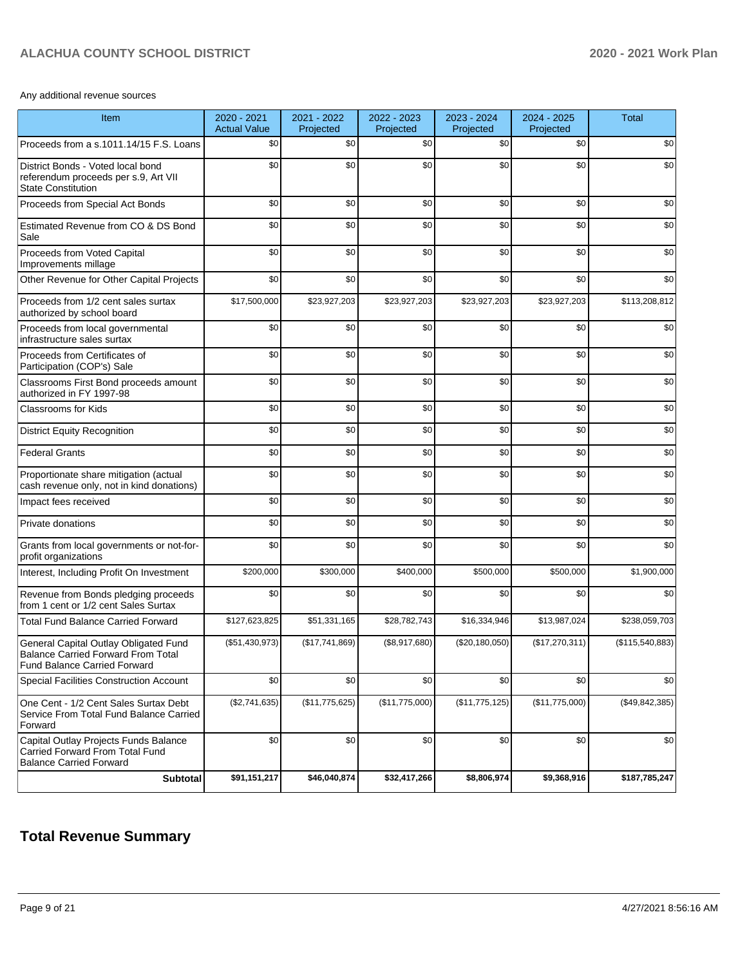# Any additional revenue sources

| Item                                                                                                               | 2020 - 2021<br><b>Actual Value</b> | 2021 - 2022<br>Projected | 2022 - 2023<br>Projected | 2023 - 2024<br>Projected | 2024 - 2025<br>Projected | <b>Total</b>    |
|--------------------------------------------------------------------------------------------------------------------|------------------------------------|--------------------------|--------------------------|--------------------------|--------------------------|-----------------|
| Proceeds from a s.1011.14/15 F.S. Loans                                                                            | \$0                                | \$0                      | \$0                      | \$0                      | \$0                      | \$0             |
| District Bonds - Voted local bond<br>referendum proceeds per s.9, Art VII<br><b>State Constitution</b>             | \$0                                | \$0                      | \$0                      | \$0                      | \$0                      | \$0             |
| Proceeds from Special Act Bonds                                                                                    | \$0                                | \$0                      | \$0                      | \$0                      | \$0                      | \$0             |
| Estimated Revenue from CO & DS Bond<br>Sale                                                                        | \$0                                | \$0                      | \$0                      | \$0                      | \$0                      | \$0             |
| Proceeds from Voted Capital<br>Improvements millage                                                                | \$0                                | \$0                      | \$0                      | \$0                      | \$0                      | \$0             |
| Other Revenue for Other Capital Projects                                                                           | \$0                                | \$0                      | \$0                      | \$0                      | \$0                      | \$0             |
| Proceeds from 1/2 cent sales surtax<br>authorized by school board                                                  | \$17,500,000                       | \$23,927,203             | \$23,927,203             | \$23,927,203             | \$23,927,203             | \$113,208,812   |
| Proceeds from local governmental<br>infrastructure sales surtax                                                    | \$0                                | \$0                      | \$0                      | \$0                      | \$0                      | \$0             |
| Proceeds from Certificates of<br>Participation (COP's) Sale                                                        | \$0                                | \$0                      | \$0                      | \$0                      | \$0                      | \$0             |
| Classrooms First Bond proceeds amount<br>authorized in FY 1997-98                                                  | \$0                                | \$0                      | \$0                      | \$0                      | \$0                      | \$0             |
| <b>Classrooms for Kids</b>                                                                                         | \$0                                | \$0                      | \$0                      | \$0                      | \$0                      | \$0             |
| <b>District Equity Recognition</b>                                                                                 | \$0                                | \$0                      | \$0                      | \$0                      | \$0                      | \$0             |
| <b>Federal Grants</b>                                                                                              | \$0                                | \$0                      | \$0                      | \$0                      | \$0                      | \$0             |
| Proportionate share mitigation (actual<br>cash revenue only, not in kind donations)                                | \$0                                | \$0                      | \$0                      | \$0                      | \$0                      | \$0             |
| Impact fees received                                                                                               | \$0                                | \$0                      | \$0                      | \$0                      | \$0                      | \$0             |
| Private donations                                                                                                  | \$0                                | \$0                      | \$0                      | \$0                      | \$0                      | \$0             |
| Grants from local governments or not-for-<br>profit organizations                                                  | \$0                                | \$0                      | \$0                      | \$0                      | \$0                      | \$0             |
| Interest, Including Profit On Investment                                                                           | \$200,000                          | \$300,000                | \$400,000                | \$500,000                | \$500,000                | \$1,900,000     |
| Revenue from Bonds pledging proceeds<br>from 1 cent or 1/2 cent Sales Surtax                                       | \$0                                | \$0                      | \$0                      | \$0                      | \$0                      | \$0             |
| <b>Total Fund Balance Carried Forward</b>                                                                          | \$127,623,825                      | \$51,331,165             | \$28,782,743             | \$16,334,946             | \$13,987,024             | \$238,059,703   |
| General Capital Outlay Obligated Fund<br>Balance Carried Forward From Total<br><b>Fund Balance Carried Forward</b> | (\$51,430,973)                     | (\$17,741,869)           | (\$8,917,680)            | (\$20,180,050)           | (\$17,270,311)           | (\$115,540,883) |
| <b>Special Facilities Construction Account</b>                                                                     | \$0                                | \$0                      | \$0                      | \$0                      | \$0                      | \$0             |
| One Cent - 1/2 Cent Sales Surtax Debt<br>Service From Total Fund Balance Carried<br>Forward                        | (\$2,741,635)                      | (\$11,775,625)           | (\$11,775,000)           | (\$11,775,125)           | (\$11,775,000)           | (\$49,842,385)  |
| Capital Outlay Projects Funds Balance<br>Carried Forward From Total Fund<br><b>Balance Carried Forward</b>         | \$0                                | \$0                      | \$0                      | \$0                      | \$0                      | \$0             |
| <b>Subtotal</b>                                                                                                    | \$91,151,217                       | \$46,040,874             | \$32,417,266             | \$8,806,974              | \$9,368,916              | \$187,785,247   |

# **Total Revenue Summary**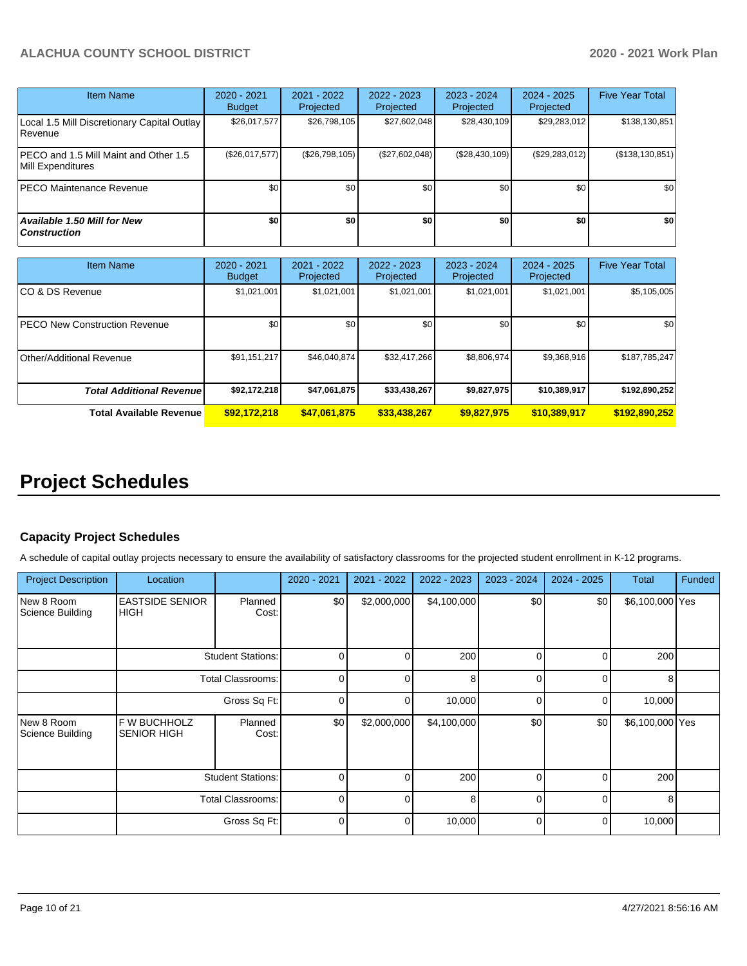| Item Name                                                  | $2020 - 2021$<br><b>Budget</b> | $2021 - 2022$<br>Projected | 2022 - 2023<br>Projected | 2023 - 2024<br>Projected | $2024 - 2025$<br>Projected | <b>Five Year Total</b> |
|------------------------------------------------------------|--------------------------------|----------------------------|--------------------------|--------------------------|----------------------------|------------------------|
| Local 1.5 Mill Discretionary Capital Outlay<br>Revenue     | \$26,017,577                   | \$26,798,105               | \$27,602,048             | \$28,430,109             | \$29,283,012               | \$138,130,851          |
| PECO and 1.5 Mill Maint and Other 1.5<br>Mill Expenditures | (\$26,017,577)                 | (S26.798.105)              | (\$27,602,048)           | (\$28,430,109)           | (\$29, 283, 012)           | (\$138, 130, 851)      |
| PECO Maintenance Revenue                                   | \$0 <sub>1</sub>               | \$0                        | \$0                      | \$0                      | \$0 <sub>1</sub>           | \$0                    |
| Available 1.50 Mill for New<br>  Construction              | \$0                            | \$0                        | \$0                      | \$0                      | \$0                        | \$0                    |

| <b>Item Name</b>                     | 2020 - 2021<br><b>Budget</b> | $2021 - 2022$<br>Projected | 2022 - 2023<br>Projected | 2023 - 2024<br>Projected | $2024 - 2025$<br>Projected | <b>Five Year Total</b> |
|--------------------------------------|------------------------------|----------------------------|--------------------------|--------------------------|----------------------------|------------------------|
| ICO & DS Revenue                     | \$1,021,001                  | \$1,021,001                | \$1,021,001              | \$1,021,001              | \$1,021,001                | \$5,105,005            |
| <b>PECO New Construction Revenue</b> | \$0                          | \$0                        | \$0                      | \$0                      | \$0                        | \$0                    |
| Other/Additional Revenue             | \$91,151,217                 | \$46,040,874               | \$32,417,266             | \$8,806,974              | \$9,368,916                | \$187,785,247          |
| <b>Total Additional Revenuel</b>     | \$92,172,218                 | \$47,061,875               | \$33,438,267             | \$9,827,975              | \$10,389,917               | \$192,890,252          |
| <b>Total Available Revenue</b>       | \$92,172,218                 | \$47,061,875               | \$33,438,267             | \$9,827,975              | \$10,389,917               | \$192,890,252          |

# **Project Schedules**

# **Capacity Project Schedules**

A schedule of capital outlay projects necessary to ensure the availability of satisfactory classrooms for the projected student enrollment in K-12 programs.

| <b>Project Description</b>     | Location                              |                  | 2020 - 2021 | 2021 - 2022 | 2022 - 2023 | 2023 - 2024  | 2024 - 2025  | <b>Total</b>    | <b>Funded</b> |
|--------------------------------|---------------------------------------|------------------|-------------|-------------|-------------|--------------|--------------|-----------------|---------------|
| New 8 Room<br>Science Building | <b>EASTSIDE SENIOR</b><br><b>HIGH</b> | Planned<br>Cost: | \$0         | \$2,000,000 | \$4,100,000 | \$0          | \$0          | \$6,100,000 Yes |               |
|                                | <b>Student Stations:</b>              |                  | 0           |             | 200         |              |              | 200             |               |
|                                | <b>Total Classrooms:</b>              |                  | $\Omega$    |             | 8           |              | <sup>0</sup> | 8               |               |
|                                | Gross Sq Ft:                          |                  | 0           |             | 10,000      | 0            | 0            | 10,000          |               |
| New 8 Room<br>Science Building | F W BUCHHOLZ<br><b>SENIOR HIGH</b>    | Planned<br>Cost: | \$0         | \$2,000,000 | \$4,100,000 | \$0          | \$0          | \$6,100,000 Yes |               |
|                                | <b>Student Stations:</b>              |                  | 0           |             | 200         | 0            |              | 200             |               |
|                                | <b>Total Classrooms:</b>              |                  | 0           |             | 8           | <sup>n</sup> | U            | 8               |               |
|                                |                                       | Gross Sq Ft:     | 0           |             | 10,000      |              |              | 10,000          |               |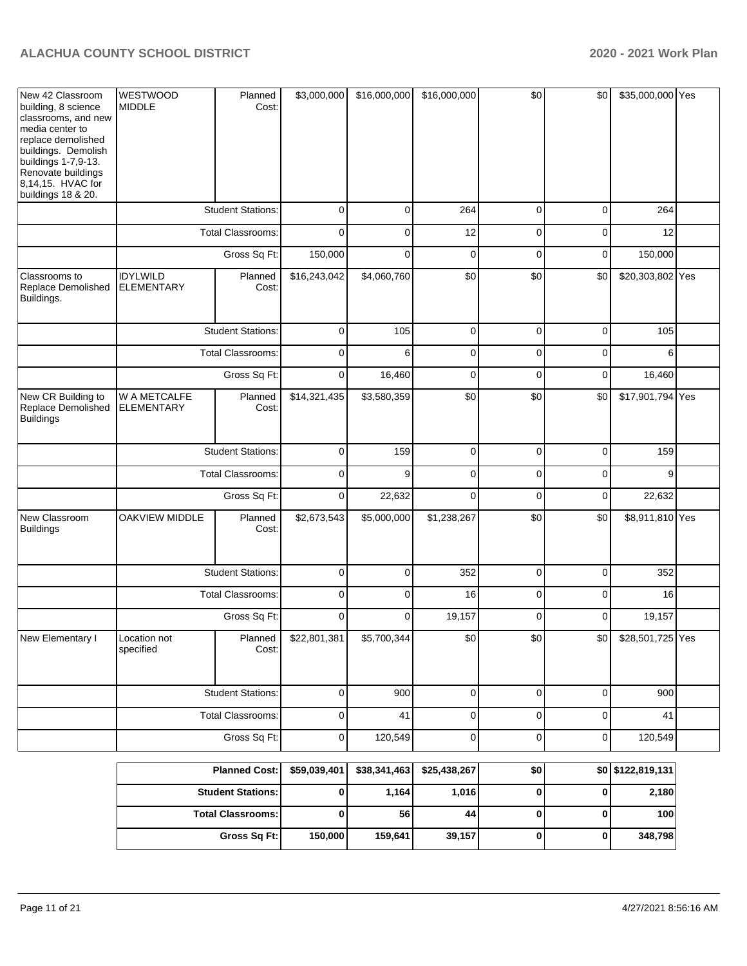| New 42 Classroom<br>building, 8 science<br>classrooms, and new<br>media center to<br>replace demolished<br>buildings. Demolish<br>buildings 1-7,9-13.<br>Renovate buildings<br>8,14,15. HVAC for<br>buildings 18 & 20. | <b>WESTWOOD</b><br><b>MIDDLE</b>     | Planned<br>Cost:         | \$3,000,000  | \$16,000,000 | \$16,000,000 | \$0         | \$0          | \$35,000,000 Yes          |  |
|------------------------------------------------------------------------------------------------------------------------------------------------------------------------------------------------------------------------|--------------------------------------|--------------------------|--------------|--------------|--------------|-------------|--------------|---------------------------|--|
|                                                                                                                                                                                                                        | <b>Student Stations:</b>             |                          | $\mathbf 0$  | $\mathbf 0$  | 264          | $\mathbf 0$ | $\mathbf 0$  | 264                       |  |
|                                                                                                                                                                                                                        |                                      | Total Classrooms:        | $\mathbf 0$  | $\mathbf 0$  | 12           | 0           | 0            | 12                        |  |
|                                                                                                                                                                                                                        |                                      | Gross Sq Ft:             | 150,000      | $\mathbf 0$  | $\mathbf 0$  | 0           | $\mathbf 0$  | 150,000                   |  |
| Classrooms to<br>Replace Demolished<br>Buildings.                                                                                                                                                                      | <b>IDYLWILD</b><br><b>ELEMENTARY</b> | Planned<br>Cost:         | \$16,243,042 | \$4,060,760  | \$0          | \$0         | \$0          | \$20,303,802 Yes          |  |
|                                                                                                                                                                                                                        |                                      | <b>Student Stations:</b> | 0            | 105          | 0            | $\mathbf 0$ | 0            | 105                       |  |
|                                                                                                                                                                                                                        |                                      | <b>Total Classrooms:</b> | $\pmb{0}$    | 6            | $\pmb{0}$    | 0           | 0            | 6                         |  |
|                                                                                                                                                                                                                        |                                      | Gross Sq Ft:             | 0            | 16,460       | 0            | $\mathbf 0$ | 0            | 16,460                    |  |
| New CR Building to<br>Replace Demolished<br><b>Buildings</b>                                                                                                                                                           | W A METCALFE<br><b>ELEMENTARY</b>    | Planned<br>Cost:         | \$14,321,435 | \$3,580,359  | \$0          | \$0         | \$0          | \$17,901,794 Yes          |  |
|                                                                                                                                                                                                                        |                                      | <b>Student Stations:</b> | $\pmb{0}$    | 159          | $\pmb{0}$    | $\mathbf 0$ | $\mathbf 0$  | 159                       |  |
|                                                                                                                                                                                                                        |                                      | Total Classrooms:        | $\pmb{0}$    | 9            | 0            | 0           | 0            | 9                         |  |
|                                                                                                                                                                                                                        |                                      | Gross Sq Ft:             | $\pmb{0}$    | 22,632       | $\mathbf 0$  | $\mathbf 0$ | $\mathbf 0$  | 22,632                    |  |
| New Classroom<br><b>Buildings</b>                                                                                                                                                                                      | <b>OAKVIEW MIDDLE</b>                | Planned<br>Cost:         | \$2,673,543  | \$5,000,000  | \$1,238,267  | \$0         | \$0          | \$8,911,810 Yes           |  |
|                                                                                                                                                                                                                        |                                      | <b>Student Stations:</b> | 0            | 0            | 352          | 0           | 0            | 352                       |  |
|                                                                                                                                                                                                                        |                                      | Total Classrooms:        | $\pmb{0}$    | $\mathbf 0$  | 16           | 0           | 0            | 16                        |  |
|                                                                                                                                                                                                                        |                                      | Gross Sq Ft:             | $\pmb{0}$    | $\mathbf 0$  | 19,157       | 0           | 0            | 19,157                    |  |
| New Elementary I                                                                                                                                                                                                       | Location not<br>specified            | Planned<br>Cost:         | \$22,801,381 | \$5,700,344  | \$0          | \$0         | \$0          | \$28,501,725 Yes          |  |
|                                                                                                                                                                                                                        |                                      | <b>Student Stations:</b> | $\pmb{0}$    | 900          | $\mathbf 0$  | $\mathbf 0$ | $\mathbf 0$  | 900                       |  |
|                                                                                                                                                                                                                        |                                      | Total Classrooms:        | $\pmb{0}$    | 41           | 0            | 0           | $\mathbf 0$  | 41                        |  |
|                                                                                                                                                                                                                        |                                      | Gross Sq Ft:             | $\mathbf 0$  | 120,549      | $\pmb{0}$    | $\mathbf 0$ | $\mathbf{0}$ | 120,549                   |  |
|                                                                                                                                                                                                                        |                                      | $D$ lannad Oasta         |              | 25000000     |              | ا مە        |              | $\epsilon$ ol espoziosos. |  |

| <b>Planned Cost:</b>       | \$59,039,401 |         | $$38,341,463$ $$25,438,267$ | \$0 | \$0 \$122,819,131 |
|----------------------------|--------------|---------|-----------------------------|-----|-------------------|
| <b>Student Stations: I</b> |              | 1,164   | 1,016                       |     | 2,180             |
| <b>Total Classrooms:</b>   |              | 56      | 44                          |     | 100               |
| Gross Sq Ft:               | 150,000      | 159,641 | 39,157                      |     | 348,798           |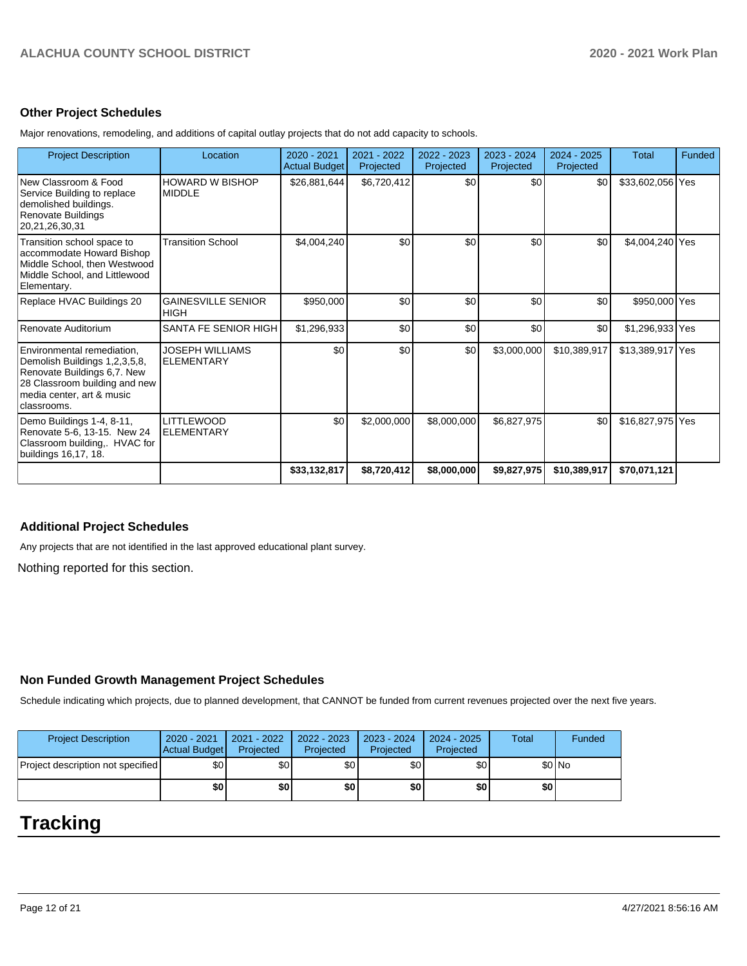# **Other Project Schedules**

Major renovations, remodeling, and additions of capital outlay projects that do not add capacity to schools.

| <b>Project Description</b>                                                                                                                                              | Location                                 | $2020 - 2021$<br><b>Actual Budget</b> | $2021 - 2022$<br>Projected | 2022 - 2023<br>Projected | $2023 - 2024$<br>Projected | $2024 - 2025$<br>Projected | <b>Total</b>     | Funded |
|-------------------------------------------------------------------------------------------------------------------------------------------------------------------------|------------------------------------------|---------------------------------------|----------------------------|--------------------------|----------------------------|----------------------------|------------------|--------|
| New Classroom & Food<br>Service Building to replace<br>demolished buildings.<br>Renovate Buildings<br>20.21.26.30.31                                                    | <b>HOWARD W BISHOP</b><br><b>MIDDLE</b>  | \$26,881,644                          | \$6,720,412                | \$0                      | \$0                        | \$0                        | \$33,602,056 Yes |        |
| Transition school space to<br>accommodate Howard Bishop<br>Middle School, then Westwood<br>Middle School, and Littlewood<br>Elementary.                                 | <b>Transition School</b>                 | \$4,004,240                           | \$0                        | \$0                      | \$0                        | \$0                        | \$4,004,240 Yes  |        |
| Replace HVAC Buildings 20                                                                                                                                               | <b>GAINESVILLE SENIOR</b><br><b>HIGH</b> | \$950,000                             | \$0                        | \$0                      | \$0                        | \$0                        | \$950,000 Yes    |        |
| Renovate Auditorium                                                                                                                                                     | SANTA FE SENIOR HIGH                     | \$1,296,933                           | \$0                        | \$0                      | \$0                        | \$0                        | \$1,296,933 Yes  |        |
| Environmental remediation.<br>Demolish Buildings 1,2,3,5,8,<br>Renovate Buildings 6,7. New<br>28 Classroom building and new<br>media center, art & music<br>classrooms. | <b>JOSEPH WILLIAMS</b><br>ELEMENTARY     | \$0                                   | \$0                        | \$0                      | \$3,000,000                | \$10,389,917               | \$13,389,917 Yes |        |
| Demo Buildings 1-4, 8-11,<br>Renovate 5-6, 13-15. New 24<br>Classroom building, HVAC for<br>buildings 16,17, 18.                                                        | <b>LITTLEWOOD</b><br><b>ELEMENTARY</b>   | \$0                                   | \$2,000,000                | \$8,000,000              | \$6,827,975                | \$0                        | \$16,827,975 Yes |        |
|                                                                                                                                                                         |                                          | \$33,132,817                          | \$8,720,412                | \$8,000,000              | \$9,827,975                | \$10,389,917               | \$70,071,121     |        |

# **Additional Project Schedules**

Any projects that are not identified in the last approved educational plant survey.

Nothing reported for this section.

## **Non Funded Growth Management Project Schedules**

Schedule indicating which projects, due to planned development, that CANNOT be funded from current revenues projected over the next five years.

| <b>Project Description</b>        | 2020 - 2021<br>Actual Budget | 2021 - 2022<br>Projected | $2022 - 2023$<br>Projected | $2023 - 2024$<br>Projected | 2024 - 2025<br>Projected | <b>Total</b> | Funded |
|-----------------------------------|------------------------------|--------------------------|----------------------------|----------------------------|--------------------------|--------------|--------|
| Project description not specified | \$0 I                        | \$0 <sub>1</sub>         | \$0                        | \$0                        | \$0                      |              | \$0 No |
|                                   | \$0                          | \$0                      | \$0                        | \$0                        | \$0                      | \$0          |        |

# **Tracking**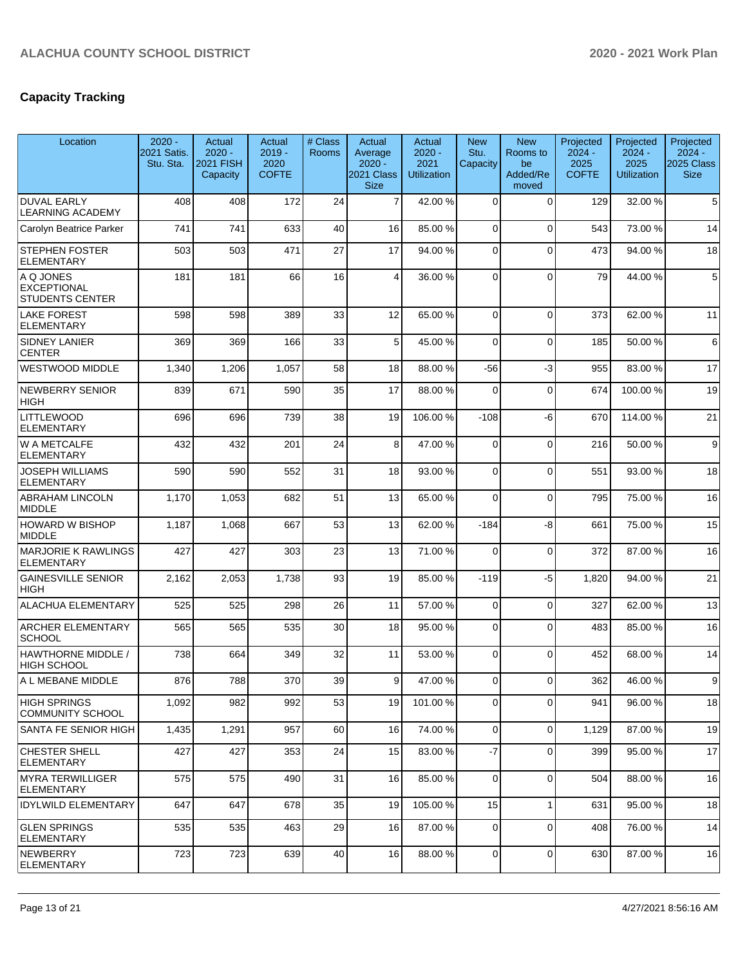# **Capacity Tracking**

| Location                                                  | $2020 -$<br>2021 Satis.<br>Stu. Sta. | Actual<br>$2020 -$<br><b>2021 FISH</b><br>Capacity | Actual<br>$2019 -$<br>2020<br><b>COFTE</b> | # Class<br><b>Rooms</b> | Actual<br>Average<br>$2020 -$<br>2021 Class | Actual<br>$2020 -$<br>2021<br><b>Utilization</b> | <b>New</b><br>Stu.<br>Capacity | <b>New</b><br>Rooms to<br>be<br>Added/Re | Projected<br>$2024 -$<br>2025<br><b>COFTE</b> | Projected<br>$2024 -$<br>2025<br><b>Utilization</b> | Projected<br>$2024 -$<br>2025 Class<br><b>Size</b> |
|-----------------------------------------------------------|--------------------------------------|----------------------------------------------------|--------------------------------------------|-------------------------|---------------------------------------------|--------------------------------------------------|--------------------------------|------------------------------------------|-----------------------------------------------|-----------------------------------------------------|----------------------------------------------------|
| <b>DUVAL EARLY</b>                                        | 408                                  | 408                                                | 172                                        | 24                      | <b>Size</b><br>7                            | 42.00%                                           | $\Omega$                       | moved<br>$\Omega$                        | 129                                           | 32.00 %                                             | 5                                                  |
| <b>LEARNING ACADEMY</b><br>Carolyn Beatrice Parker        | 741                                  | 741                                                | 633                                        | 40                      | 16                                          | 85.00 %                                          | $\overline{0}$                 | $\Omega$                                 | 543                                           | 73.00 %                                             | 14                                                 |
| <b>STEPHEN FOSTER</b>                                     | 503                                  | 503                                                | 471                                        | 27                      | 17                                          | 94.00 %                                          | 0                              | $\Omega$                                 | 473                                           | 94.00%                                              | 18                                                 |
| ELEMENTARY                                                |                                      |                                                    |                                            |                         |                                             |                                                  |                                |                                          |                                               |                                                     |                                                    |
| A Q JONES<br><b>EXCEPTIONAL</b><br><b>STUDENTS CENTER</b> | 181                                  | 181                                                | 66                                         | 16                      | 4                                           | 36.00 %                                          | $\Omega$                       | $\Omega$                                 | 79                                            | 44.00%                                              | 5                                                  |
| <b>LAKE FOREST</b><br><b>ELEMENTARY</b>                   | 598                                  | 598                                                | 389                                        | 33                      | 12                                          | 65.00 %                                          | $\mathbf 0$                    | $\Omega$                                 | 373                                           | 62.00 %                                             | 11                                                 |
| <b>SIDNEY LANIER</b><br><b>CENTER</b>                     | 369                                  | 369                                                | 166                                        | 33                      | 5                                           | 45.00 %                                          | $\mathbf 0$                    | $\Omega$                                 | 185                                           | 50.00 %                                             | 6                                                  |
| WESTWOOD MIDDLE                                           | 1,340                                | 1,206                                              | 1,057                                      | 58                      | 18                                          | 88.00 %                                          | -56                            | $-3$                                     | 955                                           | 83.00 %                                             | 17                                                 |
| NEWBERRY SENIOR<br>HIGH                                   | 839                                  | 671                                                | 590                                        | 35                      | 17                                          | 88.00 %                                          | 0                              | $\Omega$                                 | 674                                           | 100.00%                                             | 19                                                 |
| <b>LITTLEWOOD</b><br><b>ELEMENTARY</b>                    | 696                                  | 696                                                | 739                                        | 38                      | 19                                          | 106.00%                                          | $-108$                         | -6                                       | 670                                           | 114.00 %                                            | 21                                                 |
| <b>W A METCALFE</b><br><b>ELEMENTARY</b>                  | 432                                  | 432                                                | 201                                        | 24                      | 8                                           | 47.00 %                                          | $\mathbf 0$                    | $\Omega$                                 | 216                                           | 50.00 %                                             | 9                                                  |
| <b>JOSEPH WILLIAMS</b><br><b>ELEMENTARY</b>               | 590                                  | 590                                                | 552                                        | 31                      | 18                                          | 93.00 %                                          | 0                              | $\Omega$                                 | 551                                           | 93.00 %                                             | 18                                                 |
| <b>ABRAHAM LINCOLN</b><br><b>MIDDLE</b>                   | 1,170                                | 1,053                                              | 682                                        | 51                      | 13                                          | 65.00 %                                          | 0                              | $\Omega$                                 | 795                                           | 75.00 %                                             | 16                                                 |
| HOWARD W BISHOP<br><b>MIDDLE</b>                          | 1,187                                | 1,068                                              | 667                                        | 53                      | 13                                          | 62.00%                                           | $-184$                         | -8                                       | 661                                           | 75.00 %                                             | 15                                                 |
| <b>MARJORIE K RAWLINGS</b><br>ELEMENTARY                  | 427                                  | 427                                                | 303                                        | 23                      | 13                                          | 71.00 %                                          | 0                              | $\Omega$                                 | 372                                           | 87.00 %                                             | 16                                                 |
| <b>GAINESVILLE SENIOR</b><br><b>HIGH</b>                  | 2,162                                | 2,053                                              | 1,738                                      | 93                      | 19                                          | 85.00 %                                          | $-119$                         | $-5$                                     | 1,820                                         | 94.00 %                                             | 21                                                 |
| <b>ALACHUA ELEMENTARY</b>                                 | 525                                  | 525                                                | 298                                        | 26                      | 11                                          | 57.00 %                                          | $\mathbf 0$                    | $\Omega$                                 | 327                                           | 62.00%                                              | 13                                                 |
| <b>ARCHER ELEMENTARY</b><br><b>SCHOOL</b>                 | 565                                  | 565                                                | 535                                        | 30                      | 18                                          | 95.00 %                                          | 0                              | $\Omega$                                 | 483                                           | 85.00 %                                             | 16                                                 |
| <b>HAWTHORNE MIDDLE /</b><br><b>HIGH SCHOOL</b>           | 738                                  | 664                                                | 349                                        | 32                      | 11                                          | 53.00 %                                          | 0                              | $\Omega$                                 | 452                                           | 68.00 %                                             | 14                                                 |
| A L MEBANE MIDDLE                                         | 876                                  | 788                                                | 370                                        | 39                      | $\boldsymbol{9}$                            | 47.00%                                           | $\overline{0}$                 | $\mathbf 0$                              | 362                                           | 46.00%                                              | 9                                                  |
| HIGH SPRINGS<br> COMMUNITY SCHOOL                         | 1,092                                | 982                                                | 992                                        | 53                      | 19                                          | 101.00 %                                         | $\overline{0}$                 | $\Omega$                                 | 941                                           | 96.00 %                                             | 18                                                 |
| SANTA FE SENIOR HIGH                                      | 1,435                                | 1,291                                              | 957                                        | 60                      | 16                                          | 74.00 %                                          | $\mathbf 0$                    | $\Omega$                                 | 1,129                                         | 87.00 %                                             | 19                                                 |
| CHESTER SHELL<br><b>ELEMENTARY</b>                        | 427                                  | 427                                                | 353                                        | 24                      | 15                                          | 83.00 %                                          | $-7$                           | $\Omega$                                 | 399                                           | 95.00 %                                             | 17                                                 |
| MYRA TERWILLIGER<br><b>ELEMENTARY</b>                     | 575                                  | 575                                                | 490                                        | 31                      | 16                                          | 85.00 %                                          | $\mathbf 0$                    | $\Omega$                                 | 504                                           | 88.00 %                                             | 16                                                 |
| IDYLWILD ELEMENTARY                                       | 647                                  | 647                                                | 678                                        | 35                      | 19                                          | 105.00 %                                         | 15                             | $\mathbf{1}$                             | 631                                           | 95.00 %                                             | 18                                                 |
| <b>GLEN SPRINGS</b><br><b>ELEMENTARY</b>                  | 535                                  | 535                                                | 463                                        | 29                      | 16                                          | 87.00 %                                          | $\mathbf 0$                    | $\Omega$                                 | 408                                           | 76.00 %                                             | 14                                                 |
| NEWBERRY<br><b>ELEMENTARY</b>                             | 723                                  | 723                                                | 639                                        | 40                      | 16                                          | 88.00 %                                          | 0                              | $\mathbf 0$                              | 630                                           | 87.00 %                                             | 16                                                 |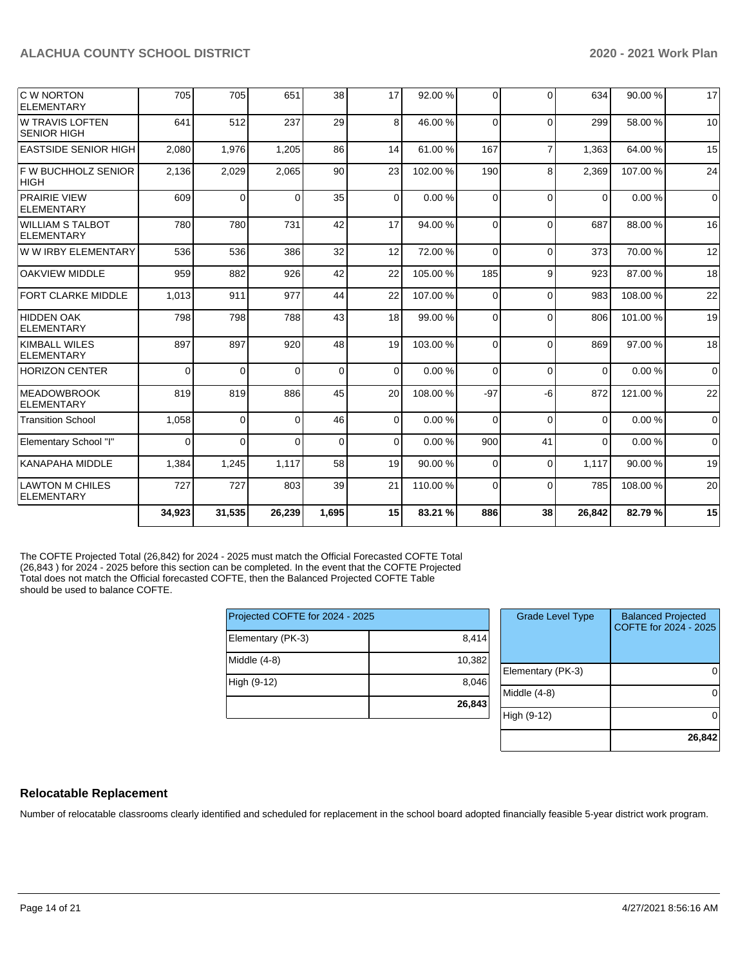| <b>KANAPAHA MIDDLE</b><br><b>LAWTON M CHILES</b><br><b>ELEMENTARY</b> | 1,384<br>727                | 1,245<br>727 | 803                              | 39                                         | 21       | 110.00% | $\Omega$                                                                                                           | $\Omega$                                                                                   | 785      | 108.00%                       | 20                           |
|-----------------------------------------------------------------------|-----------------------------|--------------|----------------------------------|--------------------------------------------|----------|---------|--------------------------------------------------------------------------------------------------------------------|--------------------------------------------------------------------------------------------|----------|-------------------------------|------------------------------|
|                                                                       |                             |              |                                  |                                            |          |         |                                                                                                                    |                                                                                            |          |                               |                              |
|                                                                       |                             |              |                                  |                                            |          |         |                                                                                                                    | $\Omega$                                                                                   | 1,117    |                               | 19                           |
| Elementary School "I"                                                 | $\Omega$                    | 0            | $\Omega$                         | $\Omega$                                   | $\Omega$ |         | 900                                                                                                                | 41                                                                                         | $\Omega$ | 0.00%                         | $\Omega$                     |
| <b>Transition School</b>                                              |                             |              | $\Omega$                         | 46                                         | $\Omega$ |         |                                                                                                                    |                                                                                            | $\Omega$ | 0.00%                         | $\Omega$                     |
| <b>MEADOWBROOK</b><br><b>ELEMENTARY</b>                               | 819                         | 819          | 886                              | 45                                         | 20       |         | $-97$                                                                                                              | $-6$                                                                                       | 872      | 121.00%                       | 22                           |
| HORIZON CENTER                                                        | $\Omega$                    | 0            | $\Omega$                         | $\Omega$                                   | $\Omega$ |         | $\Omega$                                                                                                           | $\Omega$                                                                                   | $\Omega$ | 0.00%                         | $\Omega$                     |
| <b>KIMBALL WILES</b><br><b>ELEMENTARY</b>                             | 897                         | 897          | 920                              | 48                                         | 19       |         | $\Omega$                                                                                                           | $\Omega$                                                                                   | 869      | 97.00 %                       | 18                           |
| <b>ELEMENTARY</b>                                                     | 798                         | 798          | 788                              | 43                                         | 18       |         | $\Omega$                                                                                                           | $\Omega$                                                                                   | 806      | 101.00%                       | 19                           |
| <b>FORT CLARKE MIDDLE</b>                                             |                             | 911          | 977                              | 44                                         | 22       |         | $\Omega$                                                                                                           | $\Omega$                                                                                   | 983      | 108.00%                       | 22                           |
| <b>OAKVIEW MIDDLE</b>                                                 | 959                         | 882          | 926                              | 42                                         | 22       |         | 185                                                                                                                | 9                                                                                          | 923      | 87.00 %                       | 18                           |
| W W IRBY ELEMENTARY                                                   | 536                         |              | 386                              | 32                                         | 12       |         | $\Omega$                                                                                                           | $\Omega$                                                                                   | 373      | 70.00 %                       | 12                           |
| <b>WILLIAM S TALBOT</b><br>ELEMENTARY                                 | 780                         | 780          | 731                              | 42                                         | 17       |         | $\Omega$                                                                                                           | $\Omega$                                                                                   | 687      | 88.00 %                       | 16                           |
| <b>PRAIRIE VIEW</b><br><b>ELEMENTARY</b>                              | 609                         | 0            | $\Omega$                         | 35                                         | $\Omega$ |         | 0                                                                                                                  | $\Omega$                                                                                   | $\Omega$ | 0.00%                         | $\Omega$                     |
| F W BUCHHOLZ SENIOR                                                   |                             |              |                                  |                                            |          |         |                                                                                                                    | 8                                                                                          |          |                               | 24                           |
|                                                                       |                             |              |                                  | 86                                         | 14       |         | 167                                                                                                                | $\overline{7}$                                                                             | 1,363    |                               | 15                           |
| <b>W TRAVIS LOFTEN</b><br><b>SENIOR HIGH</b>                          | 641                         | 512          | 237                              | 29                                         | 8        |         | $\Omega$                                                                                                           | $\Omega$                                                                                   | 299      | 58.00 %                       | 10                           |
| <b>C W NORTON</b><br>ELEMENTARY                                       | 705                         |              | 651                              | 38                                         | 17       |         | $\Omega$                                                                                                           |                                                                                            | 634      | 90.00 %                       | 17                           |
|                                                                       | <b>EASTSIDE SENIOR HIGH</b> | 2,136        | 2,080<br>2,029<br>1,013<br>1,058 | 705<br>1,976<br>1,205<br>2,065<br>536<br>0 | 90       | 23      | 92.00 %<br>46.00 %<br>102.00%<br>0.00%<br>94.00 %<br>72.00 %<br>107.00%<br>99.00 %<br>103.00%<br>108.00 %<br>0.00% | 61.00 %<br>190<br>105.00 %<br>0.00 %<br>0.00 %<br>1,117<br>58<br>19<br>$\Omega$<br>90.00 % | $\Omega$ | $\Omega$<br>2,369<br>$\Omega$ | 64.00%<br>107.00%<br>90.00 % |

The COFTE Projected Total (26,842) for 2024 - 2025 must match the Official Forecasted COFTE Total (26,843 ) for 2024 - 2025 before this section can be completed. In the event that the COFTE Projected Total does not match the Official forecasted COFTE, then the Balanced Projected COFTE Table should be used to balance COFTE.

| Projected COFTE for 2024 - 2025 |        | Grade Level Ty    |
|---------------------------------|--------|-------------------|
| Elementary (PK-3)               | 8.414  |                   |
| Middle (4-8)                    | 10,382 | Elementary (PK-3) |
| High (9-12)                     | 8,046  | Middle (4-8)      |
|                                 | 26,843 | High (9-12)       |

| <b>Grade Level Type</b> | <b>Balanced Projected</b><br>COFTE for 2024 - 2025 |
|-------------------------|----------------------------------------------------|
| Elementary (PK-3)       |                                                    |
| Middle (4-8)            |                                                    |
| High (9-12)             |                                                    |
|                         | 26,842                                             |

# **Relocatable Replacement**

Number of relocatable classrooms clearly identified and scheduled for replacement in the school board adopted financially feasible 5-year district work program.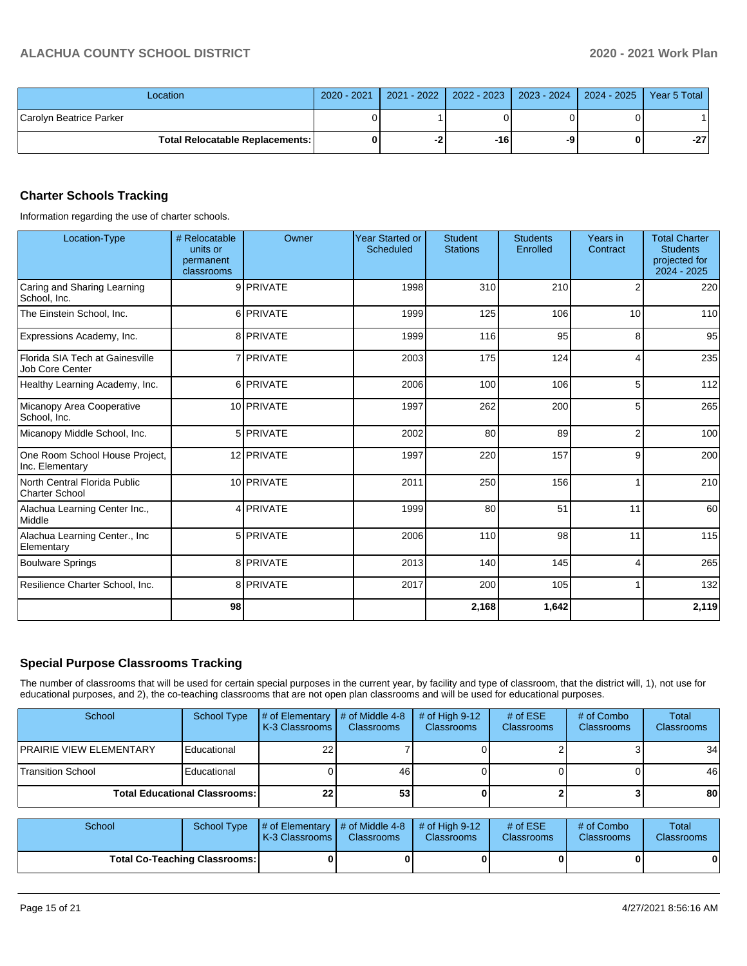| Location                                 |  |       |    | 2020 - 2021   2021 - 2022   2022 - 2023   2023 - 2024   2024 - 2025   Year 5 Total |      |
|------------------------------------------|--|-------|----|------------------------------------------------------------------------------------|------|
| Carolyn Beatrice Parker                  |  |       |    |                                                                                    |      |
| <b>Total Relocatable Replacements: I</b> |  | $-16$ | -9 |                                                                                    | -271 |

# **Charter Schools Tracking**

Information regarding the use of charter schools.

| Location-Type                                         | # Relocatable<br>units or<br>permanent<br>classrooms | Owner      | Year Started or<br><b>Scheduled</b> | <b>Student</b><br><b>Stations</b> | <b>Students</b><br>Enrolled | Years in<br>Contract | <b>Total Charter</b><br><b>Students</b><br>projected for<br>2024 - 2025 |
|-------------------------------------------------------|------------------------------------------------------|------------|-------------------------------------|-----------------------------------|-----------------------------|----------------------|-------------------------------------------------------------------------|
| Caring and Sharing Learning<br>School, Inc.           |                                                      | 9 PRIVATE  | 1998                                | 310                               | 210                         | 2                    | 220                                                                     |
| The Einstein School, Inc.                             |                                                      | 6 PRIVATE  | 1999                                | 125                               | 106                         | 10                   | 110                                                                     |
| Expressions Academy, Inc.                             |                                                      | 8 PRIVATE  | 1999                                | 116                               | 95                          | 8                    | 95                                                                      |
| Florida SIA Tech at Gainesville<br>Job Core Center    |                                                      | 7 PRIVATE  | 2003                                | 175                               | 124                         | 4                    | 235                                                                     |
| Healthy Learning Academy, Inc.                        |                                                      | 6 PRIVATE  | 2006                                | 100                               | 106                         | 5                    | 112                                                                     |
| Micanopy Area Cooperative<br>School, Inc.             |                                                      | 10 PRIVATE | 1997                                | 262                               | 200                         | 5                    | 265                                                                     |
| Micanopy Middle School, Inc.                          |                                                      | 5 PRIVATE  | 2002                                | 80                                | 89                          | $\overline{2}$       | 100                                                                     |
| One Room School House Project,<br>Inc. Elementary     |                                                      | 12 PRIVATE | 1997                                | 220                               | 157                         | 9                    | 200                                                                     |
| North Central Florida Public<br><b>Charter School</b> |                                                      | 10 PRIVATE | 2011                                | 250                               | 156                         |                      | 210                                                                     |
| Alachua Learning Center Inc.,<br>Middle               |                                                      | 4 PRIVATE  | 1999                                | 80                                | 51                          | 11                   | 60                                                                      |
| Alachua Learning Center., Inc.<br>Elementary          |                                                      | 5 PRIVATE  | 2006                                | 110                               | 98                          | 11                   | 115                                                                     |
| <b>Boulware Springs</b>                               |                                                      | 8 PRIVATE  | 2013                                | 140                               | 145                         | 4                    | 265                                                                     |
| Resilience Charter School, Inc.                       |                                                      | 8 PRIVATE  | 2017                                | 200                               | 105                         | 1                    | 132                                                                     |
|                                                       | 98                                                   |            |                                     | 2,168                             | 1,642                       |                      | 2,119                                                                   |

# **Special Purpose Classrooms Tracking**

The number of classrooms that will be used for certain special purposes in the current year, by facility and type of classroom, that the district will, 1), not use for educational purposes, and 2), the co-teaching classrooms that are not open plan classrooms and will be used for educational purposes.

| School                  | School Type                          | # of Elementary<br><b>IK-3 Classrooms I</b> | $\parallel$ # of Middle 4-8<br><b>Classrooms</b> | # of High $9-12$<br><b>Classrooms</b> | # of $ESE$<br><b>Classrooms</b> | # of Combo<br><b>Classrooms</b> | Total<br><b>Classrooms</b> |
|-------------------------|--------------------------------------|---------------------------------------------|--------------------------------------------------|---------------------------------------|---------------------------------|---------------------------------|----------------------------|
| PRAIRIE VIEW ELEMENTARY | Educational                          | 22                                          |                                                  |                                       |                                 |                                 | 34                         |
| Transition School       | Educational                          |                                             | 46                                               |                                       |                                 |                                 | 46                         |
|                         | <b>Total Educational Classrooms:</b> | 22                                          | 53                                               |                                       |                                 |                                 | 80                         |

| School                               | School Type | $\parallel$ # of Elementary $\parallel$ # of Middle 4-8 $\parallel$ # of High 9-12<br>K-3 Classrooms | <b>Classrooms</b> | <b>Classrooms</b> | # of $ESE$<br><b>Classrooms</b> | # of Combo<br><b>Classrooms</b> | Total<br><b>Classrooms</b> |
|--------------------------------------|-------------|------------------------------------------------------------------------------------------------------|-------------------|-------------------|---------------------------------|---------------------------------|----------------------------|
| <b>Total Co-Teaching Classrooms:</b> |             |                                                                                                      |                   |                   |                                 | 01                              | 0                          |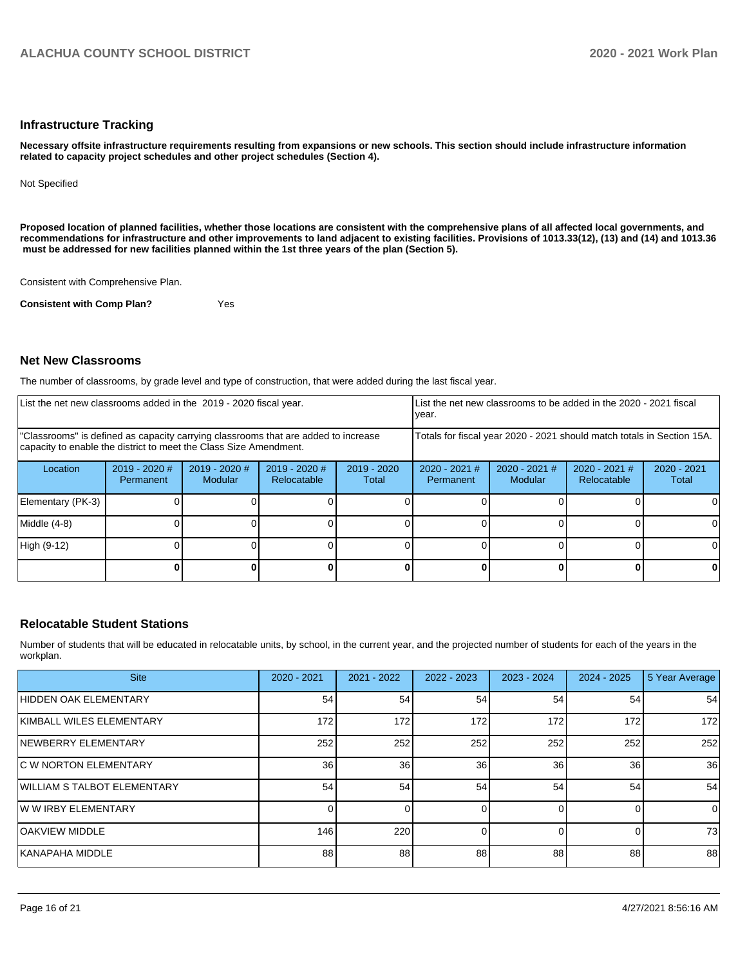### **Infrastructure Tracking**

**Necessary offsite infrastructure requirements resulting from expansions or new schools. This section should include infrastructure information related to capacity project schedules and other project schedules (Section 4).** 

Not Specified

**Proposed location of planned facilities, whether those locations are consistent with the comprehensive plans of all affected local governments, and recommendations for infrastructure and other improvements to land adjacent to existing facilities. Provisions of 1013.33(12), (13) and (14) and 1013.36** must be addressed for new facilities planned within the 1st three years of the plan (Section 5).

Consistent with Comprehensive Plan.

**Consistent with Comp Plan?** Yes

### **Net New Classrooms**

The number of classrooms, by grade level and type of construction, that were added during the last fiscal year.

| List the net new classrooms added in the 2019 - 2020 fiscal year.                                                                                       |                            |                                   |                                                                        |                        | List the net new classrooms to be added in the 2020 - 2021 fiscal<br>year. |                            |                                |                        |
|---------------------------------------------------------------------------------------------------------------------------------------------------------|----------------------------|-----------------------------------|------------------------------------------------------------------------|------------------------|----------------------------------------------------------------------------|----------------------------|--------------------------------|------------------------|
| "Classrooms" is defined as capacity carrying classrooms that are added to increase<br>capacity to enable the district to meet the Class Size Amendment. |                            |                                   | Totals for fiscal year 2020 - 2021 should match totals in Section 15A. |                        |                                                                            |                            |                                |                        |
| Location                                                                                                                                                | 2019 - 2020 #<br>Permanent | $2019 - 2020$ #<br><b>Modular</b> | $2019 - 2020$ #<br>Relocatable                                         | $2019 - 2020$<br>Total | $2020 - 2021$ #<br>Permanent                                               | $2020 - 2021$ #<br>Modular | $2020 - 2021$ #<br>Relocatable | $2020 - 2021$<br>Total |
| Elementary (PK-3)                                                                                                                                       |                            |                                   |                                                                        |                        |                                                                            |                            |                                |                        |
| Middle (4-8)                                                                                                                                            |                            |                                   |                                                                        |                        |                                                                            |                            |                                |                        |
| High (9-12)                                                                                                                                             |                            |                                   |                                                                        |                        |                                                                            |                            |                                | 0                      |
|                                                                                                                                                         |                            |                                   |                                                                        |                        |                                                                            |                            |                                |                        |

## **Relocatable Student Stations**

Number of students that will be educated in relocatable units, by school, in the current year, and the projected number of students for each of the years in the workplan.

| <b>Site</b>                        | $2020 - 2021$ | $2021 - 2022$ | $2022 - 2023$ | 2023 - 2024 | $2024 - 2025$ | 5 Year Average |
|------------------------------------|---------------|---------------|---------------|-------------|---------------|----------------|
| HIDDEN OAK ELEMENTARY              | 54            | 54            | 54            | 54          | 54            | 54             |
| KIMBALL WILES ELEMENTARY           | 172           | 172           | 172           | 172         | 172           | 172            |
| NEWBERRY ELEMENTARY                | 252           | 252           | 252           | 252         | 252           | 252            |
| <b>IC W NORTON ELEMENTARY</b>      | 36            | 36            | 36            | 36          | 36            | 36             |
| <b>WILLIAM S TALBOT ELEMENTARY</b> | 54            | 54            | 54            | 54          | 54            | 54             |
| <b>WW IRBY ELEMENTARY</b>          |               |               |               |             |               | $\mathbf 0$    |
| <b>OAKVIEW MIDDLE</b>              | 146           | 220           |               |             |               | 73             |
| KANAPAHA MIDDLE                    | 88            | 88            | 88            | 88          | 88            | 88             |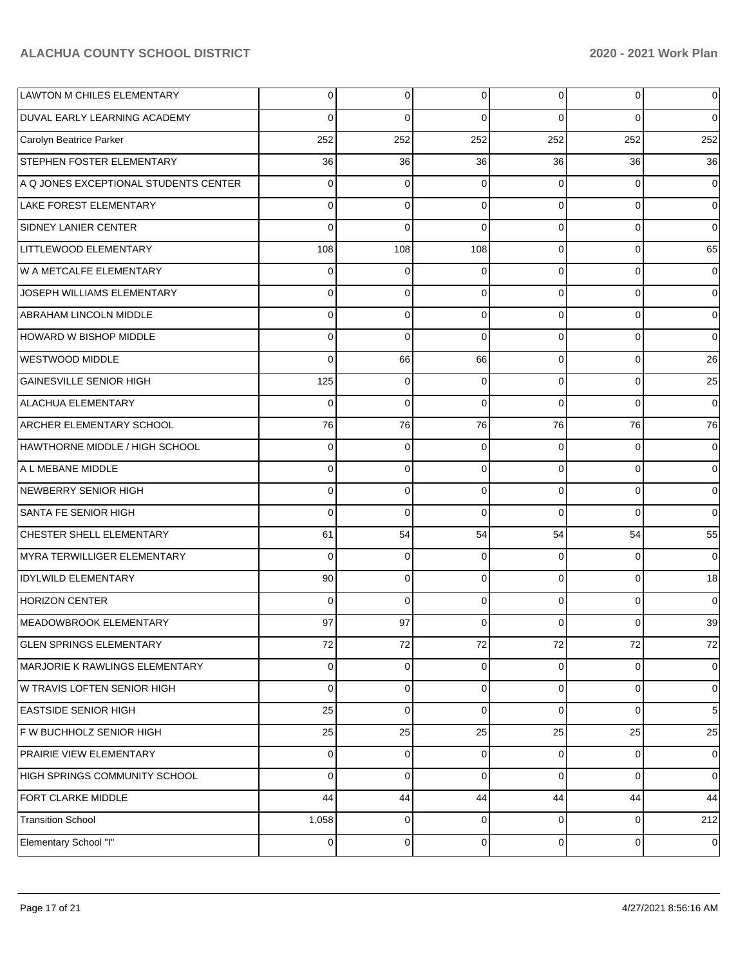| <b>LAWTON M CHILES ELEMENTARY</b>     | 0        | $\overline{0}$ | 0           | $\overline{0}$ | 0           | 0           |
|---------------------------------------|----------|----------------|-------------|----------------|-------------|-------------|
| DUVAL EARLY LEARNING ACADEMY          | $\Omega$ | $\Omega$       | 0           | $\Omega$       | $\Omega$    | $\Omega$    |
| Carolyn Beatrice Parker               | 252      | 252            | 252         | 252            | 252         | 252         |
| STEPHEN FOSTER ELEMENTARY             | 36       | 36             | 36          | 36             | 36          | 36          |
| A Q JONES EXCEPTIONAL STUDENTS CENTER | $\Omega$ | $\mathbf 0$    | $\Omega$    | $\Omega$       | $\Omega$    | $\Omega$    |
| LAKE FOREST ELEMENTARY                | $\Omega$ | $\mathbf 0$    | $\Omega$    | $\Omega$       | $\Omega$    | 0           |
| SIDNEY LANIER CENTER                  | $\Omega$ | 0              | $\Omega$    | $\Omega$       | $\Omega$    | $\Omega$    |
| LITTLEWOOD ELEMENTARY                 | 108      | 108            | 108         | $\Omega$       | $\Omega$    | 65          |
| W A METCALFE ELEMENTARY               | $\Omega$ | $\Omega$       | 0           | $\Omega$       | $\Omega$    | $\Omega$    |
| JOSEPH WILLIAMS ELEMENTARY            | $\Omega$ | $\mathbf 0$    | $\Omega$    | $\Omega$       | $\Omega$    | 0           |
| ABRAHAM LINCOLN MIDDLE                | $\Omega$ | $\mathbf 0$    | $\Omega$    | $\Omega$       | $\Omega$    | $\Omega$    |
| <b>HOWARD W BISHOP MIDDLE</b>         | $\Omega$ | $\mathbf 0$    | $\Omega$    | $\Omega$       | $\Omega$    | 0           |
| <b>WESTWOOD MIDDLE</b>                | $\Omega$ | 66             | 66          | $\Omega$       | $\Omega$    | 26          |
| <b>GAINESVILLE SENIOR HIGH</b>        | 125      | $\mathbf 0$    | $\Omega$    | $\Omega$       | $\Omega$    | 25          |
| <b>ALACHUA ELEMENTARY</b>             | $\Omega$ | $\Omega$       | $\Omega$    | $\Omega$       | $\Omega$    | $\Omega$    |
| ARCHER ELEMENTARY SCHOOL              | 76       | 76             | 76          | 76             | 76          | 76          |
| HAWTHORNE MIDDLE / HIGH SCHOOL        | $\Omega$ | $\mathbf 0$    | $\Omega$    | $\Omega$       | $\Omega$    | $\Omega$    |
| A L MEBANE MIDDLE                     | $\Omega$ | $\mathbf 0$    | $\Omega$    | $\Omega$       | $\Omega$    | 0           |
| NEWBERRY SENIOR HIGH                  | $\Omega$ | $\mathbf 0$    | $\Omega$    | $\Omega$       | $\Omega$    | $\Omega$    |
| SANTA FE SENIOR HIGH                  | $\Omega$ | $\mathbf 0$    | $\Omega$    | $\Omega$       | $\Omega$    | $\Omega$    |
| CHESTER SHELL ELEMENTARY              | 61       | 54             | 54          | 54             | 54          | 55          |
| MYRA TERWILLIGER ELEMENTARY           | $\Omega$ | $\mathbf 0$    | $\Omega$    | $\Omega$       | $\Omega$    | $\mathbf 0$ |
| <b>IDYLWILD ELEMENTARY</b>            | 90       | $\mathbf 0$    | $\Omega$    | $\Omega$       | $\Omega$    | 18          |
| <b>HORIZON CENTER</b>                 | $\Omega$ | $\mathbf 0$    | $\Omega$    | $\Omega$       | $\Omega$    | 0           |
| MEADOWBROOK ELEMENTARY                | 97       | 97             | $\Omega$    | 0              | $\Omega$    | 39          |
| <b>GLEN SPRINGS ELEMENTARY</b>        | 72       | 72             | 72          | 72             | 72          | $72\,$      |
| MARJORIE K RAWLINGS ELEMENTARY        | $\Omega$ | $\overline{0}$ | $\Omega$    | $\Omega$       | $\mathbf 0$ | 0           |
| W TRAVIS LOFTEN SENIOR HIGH           | $\Omega$ | $\mathbf 0$    | $\Omega$    | $\Omega$       | $\mathbf 0$ | $\mathbf 0$ |
| <b>EASTSIDE SENIOR HIGH</b>           | 25       | $\mathbf 0$    | $\Omega$    | $\Omega$       | $\Omega$    | 5           |
| F W BUCHHOLZ SENIOR HIGH              | 25       | 25             | 25          | 25             | 25          | 25          |
| PRAIRIE VIEW ELEMENTARY               | $\Omega$ | $\overline{0}$ | $\Omega$    | $\Omega$       | $\mathbf 0$ | 0           |
| HIGH SPRINGS COMMUNITY SCHOOL         | $\Omega$ | $\mathbf 0$    | $\Omega$    | $\Omega$       | $\Omega$    | $\Omega$    |
| FORT CLARKE MIDDLE                    | 44       | 44             | 44          | 44             | 44          | 44          |
| <b>Transition School</b>              | 1,058    | $\mathbf 0$    | $\Omega$    | $\Omega$       | $\mathbf 0$ | 212         |
| Elementary School "I"                 | 0        | $\mathbf 0$    | $\mathbf 0$ | $\overline{0}$ | $\mathbf 0$ | 0           |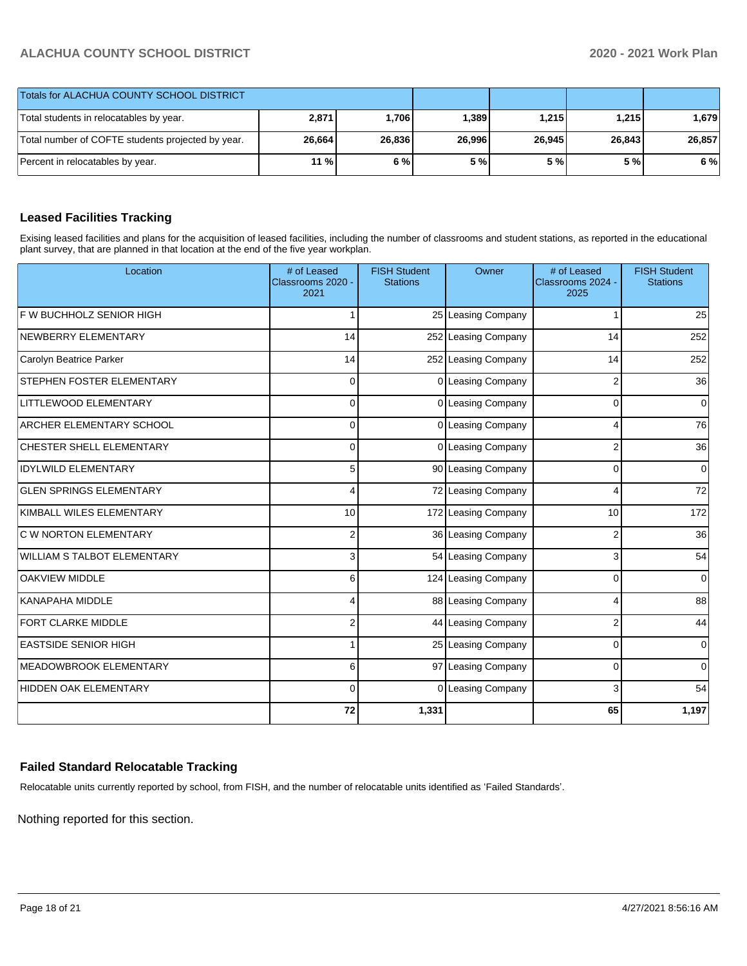| Totals for ALACHUA COUNTY SCHOOL DISTRICT         |        |        |        |        |        |        |
|---------------------------------------------------|--------|--------|--------|--------|--------|--------|
| Total students in relocatables by year.           | 2,871  | 1.706  | 1,389  | 1,215  | 1.215  | I.679  |
| Total number of COFTE students projected by year. | 26,664 | 26,836 | 26,996 | 26,945 | 26,843 | 26.857 |
| Percent in relocatables by year.                  | $11\%$ | 6%     | 5%     | 5 %    | 5 %l   | 6 %    |

# **Leased Facilities Tracking**

Exising leased facilities and plans for the acquisition of leased facilities, including the number of classrooms and student stations, as reported in the educational plant survey, that are planned in that location at the end of the five year workplan.

| Location                         | # of Leased<br>Classrooms 2020 -<br>2021 | <b>FISH Student</b><br><b>Stations</b> | Owner               | # of Leased<br>Classrooms 2024 -<br>2025 | <b>FISH Student</b><br><b>Stations</b> |
|----------------------------------|------------------------------------------|----------------------------------------|---------------------|------------------------------------------|----------------------------------------|
| F W BUCHHOLZ SENIOR HIGH         |                                          |                                        | 25 Leasing Company  |                                          | 25                                     |
| NEWBERRY ELEMENTARY              | 14                                       |                                        | 252 Leasing Company | 14                                       | 252                                    |
| Carolyn Beatrice Parker          | 14                                       |                                        | 252 Leasing Company | 14                                       | 252                                    |
| <b>STEPHEN FOSTER ELEMENTARY</b> | $\Omega$                                 |                                        | 0 Leasing Company   | 2                                        | 36                                     |
| LITTLEWOOD ELEMENTARY            | $\Omega$                                 |                                        | 0 Leasing Company   | $\Omega$                                 | 0                                      |
| <b>ARCHER ELEMENTARY SCHOOL</b>  | $\Omega$                                 |                                        | 0 Leasing Company   | 4                                        | 76                                     |
| CHESTER SHELL ELEMENTARY         | 0                                        |                                        | 0 Leasing Company   | $\overline{2}$                           | 36                                     |
| <b>IDYLWILD ELEMENTARY</b>       | 5                                        |                                        | 90 Leasing Company  | 0                                        | $\overline{0}$                         |
| <b>GLEN SPRINGS ELEMENTARY</b>   | $\overline{4}$                           |                                        | 72 Leasing Company  | 4                                        | 72                                     |
| KIMBALL WILES ELEMENTARY         | 10                                       | 172                                    | Leasing Company     | 10                                       | 172                                    |
| C W NORTON ELEMENTARY            | $\overline{2}$                           |                                        | 36 Leasing Company  | $\overline{2}$                           | 36                                     |
| WILLIAM S TALBOT ELEMENTARY      | 3                                        |                                        | 54 Leasing Company  | 3                                        | 54                                     |
| <b>OAKVIEW MIDDLE</b>            | 6                                        |                                        | 124 Leasing Company | $\Omega$                                 | 0                                      |
| <b>KANAPAHA MIDDLE</b>           | 4                                        |                                        | 88 Leasing Company  | 4                                        | 88                                     |
| FORT CLARKE MIDDLE               | $\overline{2}$                           |                                        | 44 Leasing Company  | $\overline{2}$                           | 44                                     |
| <b>EASTSIDE SENIOR HIGH</b>      |                                          |                                        | 25 Leasing Company  | 0                                        | 0                                      |
| MEADOWBROOK ELEMENTARY           | 6                                        |                                        | 97 Leasing Company  | 0                                        | $\overline{0}$                         |
| HIDDEN OAK ELEMENTARY            | $\Omega$                                 |                                        | 0 Leasing Company   | 3                                        | 54                                     |
|                                  | 72                                       | 1,331                                  |                     | 65                                       | 1,197                                  |

## **Failed Standard Relocatable Tracking**

Relocatable units currently reported by school, from FISH, and the number of relocatable units identified as 'Failed Standards'.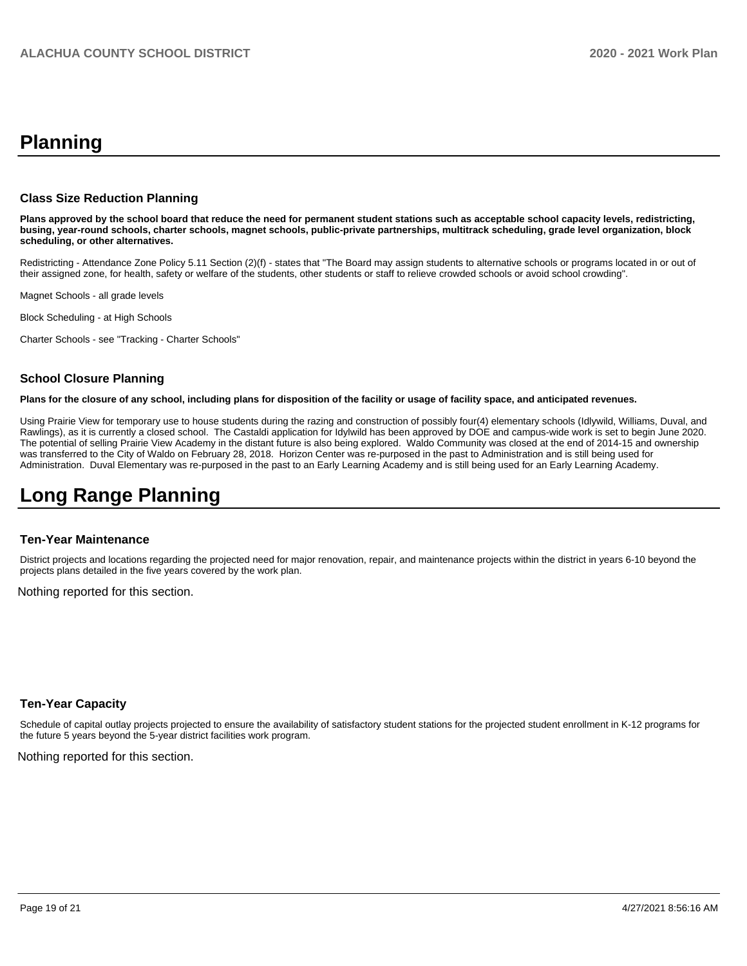# **Planning**

### **Class Size Reduction Planning**

**Plans approved by the school board that reduce the need for permanent student stations such as acceptable school capacity levels, redistricting, busing, year-round schools, charter schools, magnet schools, public-private partnerships, multitrack scheduling, grade level organization, block scheduling, or other alternatives.**

Redistricting - Attendance Zone Policy 5.11 Section (2)(f) - states that "The Board may assign students to alternative schools or programs located in or out of their assigned zone, for health, safety or welfare of the students, other students or staff to relieve crowded schools or avoid school crowding".

Magnet Schools - all grade levels

Block Scheduling - at High Schools

Charter Schools - see "Tracking - Charter Schools"

### **School Closure Planning**

**Plans for the closure of any school, including plans for disposition of the facility or usage of facility space, and anticipated revenues.** 

Using Prairie View for temporary use to house students during the razing and construction of possibly four(4) elementary schools (Idlywild, Williams, Duval, and Rawlings), as it is currently a closed school. The Castaldi application for Idylwild has been approved by DOE and campus-wide work is set to begin June 2020. The potential of selling Prairie View Academy in the distant future is also being explored. Waldo Community was closed at the end of 2014-15 and ownership was transferred to the City of Waldo on February 28, 2018. Horizon Center was re-purposed in the past to Administration and is still being used for Administration. Duval Elementary was re-purposed in the past to an Early Learning Academy and is still being used for an Early Learning Academy.

# **Long Range Planning**

#### **Ten-Year Maintenance**

District projects and locations regarding the projected need for major renovation, repair, and maintenance projects within the district in years 6-10 beyond the projects plans detailed in the five years covered by the work plan.

Nothing reported for this section.

## **Ten-Year Capacity**

Schedule of capital outlay projects projected to ensure the availability of satisfactory student stations for the projected student enrollment in K-12 programs for the future 5 years beyond the 5-year district facilities work program.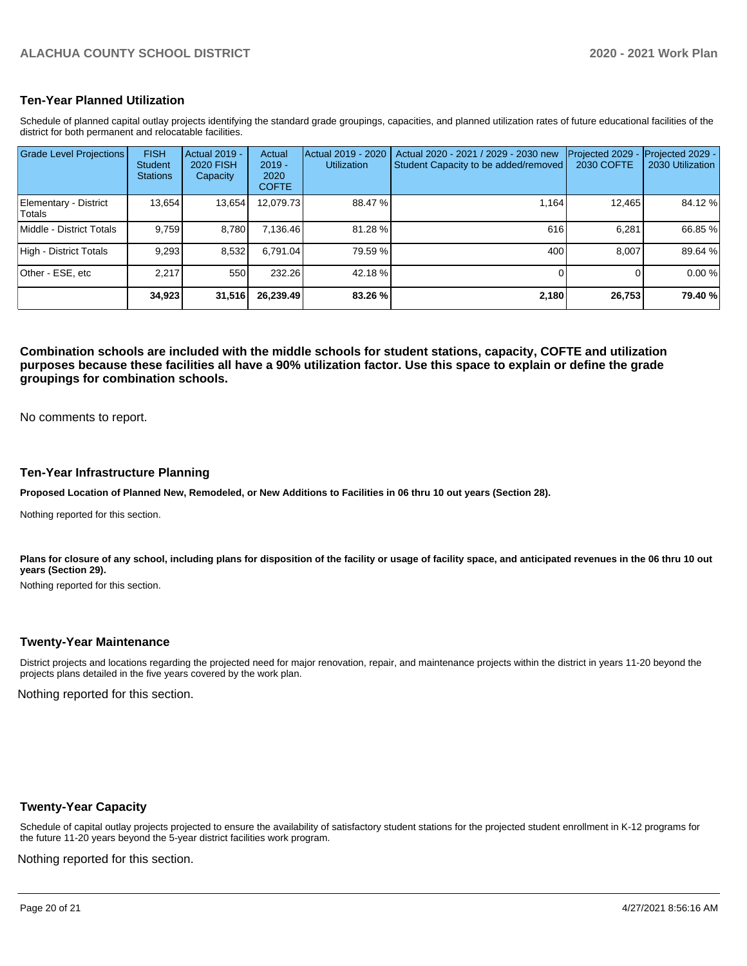# **Ten-Year Planned Utilization**

Schedule of planned capital outlay projects identifying the standard grade groupings, capacities, and planned utilization rates of future educational facilities of the district for both permanent and relocatable facilities.

| <b>Grade Level Projections</b>  | <b>FISH</b><br><b>Student</b><br><b>Stations</b> | Actual 2019 -<br><b>2020 FISH</b><br>Capacity | Actual<br>$2019 -$<br>2020<br><b>COFTE</b> | Actual 2019 - 2020<br><b>Utilization</b> | Actual 2020 - 2021 / 2029 - 2030 new<br>Student Capacity to be added/removed | Projected 2029<br>2030 COFTE | Projected 2029 -<br>2030 Utilization |
|---------------------------------|--------------------------------------------------|-----------------------------------------------|--------------------------------------------|------------------------------------------|------------------------------------------------------------------------------|------------------------------|--------------------------------------|
| Elementary - District<br>Totals | 13,654                                           | 13,654                                        | 12,079.73                                  | 88.47 %                                  | 1.164                                                                        | 12,465                       | 84.12 %                              |
| Middle - District Totals        | 9.759                                            | 8.780                                         | 7.136.46                                   | 81.28%                                   | 616                                                                          | 6.281                        | 66.85 %                              |
| High - District Totals          | 9.293                                            | 8,532                                         | 6.791.04                                   | 79.59 %                                  | 400                                                                          | 8.007                        | 89.64 %                              |
| Other - ESE, etc                | 2.217                                            | 550                                           | 232.26                                     | 42.18 %                                  |                                                                              |                              | 0.00 %                               |
|                                 | 34,923                                           | 31,516                                        | 26.239.49                                  | 83.26 %                                  | 2,180                                                                        | 26,753                       | 79.40 %                              |

**Combination schools are included with the middle schools for student stations, capacity, COFTE and utilization purposes because these facilities all have a 90% utilization factor. Use this space to explain or define the grade groupings for combination schools.** 

No comments to report.

### **Ten-Year Infrastructure Planning**

**Proposed Location of Planned New, Remodeled, or New Additions to Facilities in 06 thru 10 out years (Section 28).**

Nothing reported for this section.

Plans for closure of any school, including plans for disposition of the facility or usage of facility space, and anticipated revenues in the 06 thru 10 out **years (Section 29).**

Nothing reported for this section.

## **Twenty-Year Maintenance**

District projects and locations regarding the projected need for major renovation, repair, and maintenance projects within the district in years 11-20 beyond the projects plans detailed in the five years covered by the work plan.

Nothing reported for this section.

## **Twenty-Year Capacity**

Schedule of capital outlay projects projected to ensure the availability of satisfactory student stations for the projected student enrollment in K-12 programs for the future 11-20 years beyond the 5-year district facilities work program.